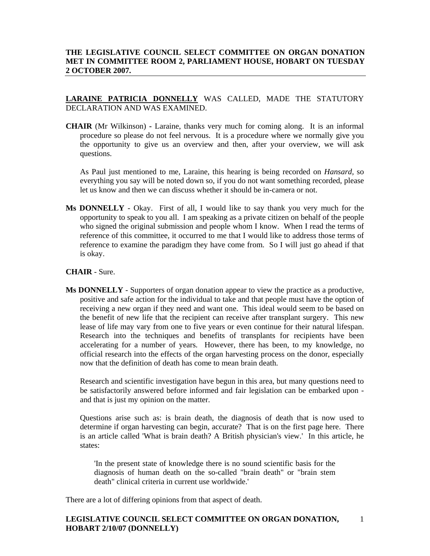# **THE LEGISLATIVE COUNCIL SELECT COMMITTEE ON ORGAN DONATION MET IN COMMITTEE ROOM 2, PARLIAMENT HOUSE, HOBART ON TUESDAY 2 OCTOBER 2007.**

## **LARAINE PATRICIA DONNELLY** WAS CALLED, MADE THE STATUTORY DECLARATION AND WAS EXAMINED.

**CHAIR** (Mr Wilkinson) **-** Laraine, thanks very much for coming along. It is an informal procedure so please do not feel nervous. It is a procedure where we normally give you the opportunity to give us an overview and then, after your overview, we will ask questions.

 As Paul just mentioned to me, Laraine, this hearing is being recorded on *Hansard,* so everything you say will be noted down so, if you do not want something recorded, please let us know and then we can discuss whether it should be in-camera or not.

**Ms DONNELLY** - Okay. First of all, I would like to say thank you very much for the opportunity to speak to you all. I am speaking as a private citizen on behalf of the people who signed the original submission and people whom I know. When I read the terms of reference of this committee, it occurred to me that I would like to address those terms of reference to examine the paradigm they have come from. So I will just go ahead if that is okay.

## **CHAIR** - Sure.

**Ms DONNELLY** - Supporters of organ donation appear to view the practice as a productive, positive and safe action for the individual to take and that people must have the option of receiving a new organ if they need and want one. This ideal would seem to be based on the benefit of new life that the recipient can receive after transplant surgery. This new lease of life may vary from one to five years or even continue for their natural lifespan. Research into the techniques and benefits of transplants for recipients have been accelerating for a number of years. However, there has been, to my knowledge, no official research into the effects of the organ harvesting process on the donor, especially now that the definition of death has come to mean brain death.

 Research and scientific investigation have begun in this area, but many questions need to be satisfactorily answered before informed and fair legislation can be embarked upon and that is just my opinion on the matter.

 Questions arise such as: is brain death, the diagnosis of death that is now used to determine if organ harvesting can begin, accurate? That is on the first page here. There is an article called 'What is brain death? A British physician's view.' In this article, he states:

'In the present state of knowledge there is no sound scientific basis for the diagnosis of human death on the so-called "brain death" or "brain stem death" clinical criteria in current use worldwide.'

There are a lot of differing opinions from that aspect of death.

#### **LEGISLATIVE COUNCIL SELECT COMMITTEE ON ORGAN DONATION, HOBART 2/10/07 (DONNELLY)**  1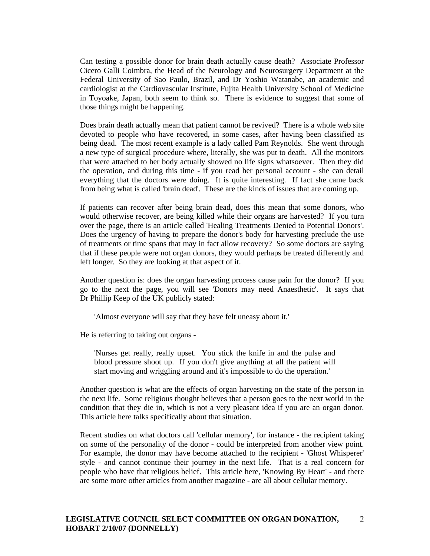Can testing a possible donor for brain death actually cause death? Associate Professor Cicero Galli Coimbra, the Head of the Neurology and Neurosurgery Department at the Federal University of Sao Paulo, Brazil, and Dr Yoshio Watanabe, an academic and cardiologist at the Cardiovascular Institute, Fujita Health University School of Medicine in Toyoake, Japan, both seem to think so. There is evidence to suggest that some of those things might be happening.

 Does brain death actually mean that patient cannot be revived? There is a whole web site devoted to people who have recovered, in some cases, after having been classified as being dead. The most recent example is a lady called Pam Reynolds. She went through a new type of surgical procedure where, literally, she was put to death. All the monitors that were attached to her body actually showed no life signs whatsoever. Then they did the operation, and during this time - if you read her personal account - she can detail everything that the doctors were doing. It is quite interesting. If fact she came back from being what is called 'brain dead'. These are the kinds of issues that are coming up.

 If patients can recover after being brain dead, does this mean that some donors, who would otherwise recover, are being killed while their organs are harvested? If you turn over the page, there is an article called 'Healing Treatments Denied to Potential Donors'. Does the urgency of having to prepare the donor's body for harvesting preclude the use of treatments or time spans that may in fact allow recovery? So some doctors are saying that if these people were not organ donors, they would perhaps be treated differently and left longer. So they are looking at that aspect of it.

 Another question is: does the organ harvesting process cause pain for the donor? If you go to the next the page, you will see 'Donors may need Anaesthetic'. It says that Dr Phillip Keep of the UK publicly stated:

'Almost everyone will say that they have felt uneasy about it.'

He is referring to taking out organs -

'Nurses get really, really upset. You stick the knife in and the pulse and blood pressure shoot up. If you don't give anything at all the patient will start moving and wriggling around and it's impossible to do the operation.'

 Another question is what are the effects of organ harvesting on the state of the person in the next life. Some religious thought believes that a person goes to the next world in the condition that they die in, which is not a very pleasant idea if you are an organ donor. This article here talks specifically about that situation.

 Recent studies on what doctors call 'cellular memory', for instance - the recipient taking on some of the personality of the donor - could be interpreted from another view point. For example, the donor may have become attached to the recipient - 'Ghost Whisperer' style - and cannot continue their journey in the next life. That is a real concern for people who have that religious belief. This article here, 'Knowing By Heart' - and there are some more other articles from another magazine - are all about cellular memory.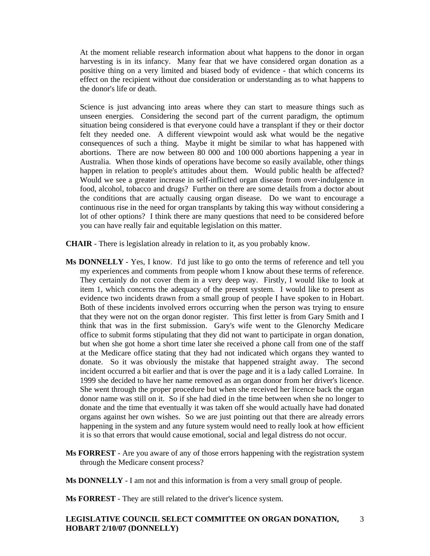At the moment reliable research information about what happens to the donor in organ harvesting is in its infancy. Many fear that we have considered organ donation as a positive thing on a very limited and biased body of evidence - that which concerns its effect on the recipient without due consideration or understanding as to what happens to the donor's life or death.

 Science is just advancing into areas where they can start to measure things such as unseen energies. Considering the second part of the current paradigm, the optimum situation being considered is that everyone could have a transplant if they or their doctor felt they needed one. A different viewpoint would ask what would be the negative consequences of such a thing. Maybe it might be similar to what has happened with abortions. There are now between 80 000 and 100 000 abortions happening a year in Australia. When those kinds of operations have become so easily available, other things happen in relation to people's attitudes about them. Would public health be affected? Would we see a greater increase in self-inflicted organ disease from over-indulgence in food, alcohol, tobacco and drugs? Further on there are some details from a doctor about the conditions that are actually causing organ disease. Do we want to encourage a continuous rise in the need for organ transplants by taking this way without considering a lot of other options? I think there are many questions that need to be considered before you can have really fair and equitable legislation on this matter.

**CHAIR** - There is legislation already in relation to it, as you probably know.

- **Ms DONNELLY** Yes, I know. I'd just like to go onto the terms of reference and tell you my experiences and comments from people whom I know about these terms of reference. They certainly do not cover them in a very deep way. Firstly, I would like to look at item 1, which concerns the adequacy of the present system. I would like to present as evidence two incidents drawn from a small group of people I have spoken to in Hobart. Both of these incidents involved errors occurring when the person was trying to ensure that they were not on the organ donor register. This first letter is from Gary Smith and I think that was in the first submission. Gary's wife went to the Glenorchy Medicare office to submit forms stipulating that they did not want to participate in organ donation, but when she got home a short time later she received a phone call from one of the staff at the Medicare office stating that they had not indicated which organs they wanted to donate. So it was obviously the mistake that happened straight away. The second incident occurred a bit earlier and that is over the page and it is a lady called Lorraine. In 1999 she decided to have her name removed as an organ donor from her driver's licence. She went through the proper procedure but when she received her licence back the organ donor name was still on it. So if she had died in the time between when she no longer to donate and the time that eventually it was taken off she would actually have had donated organs against her own wishes. So we are just pointing out that there are already errors happening in the system and any future system would need to really look at how efficient it is so that errors that would cause emotional, social and legal distress do not occur.
- **Ms FORREST** Are you aware of any of those errors happening with the registration system through the Medicare consent process?

**Ms DONNELLY** - I am not and this information is from a very small group of people.

**Ms FORREST** - They are still related to the driver's licence system.

#### **LEGISLATIVE COUNCIL SELECT COMMITTEE ON ORGAN DONATION, HOBART 2/10/07 (DONNELLY)**  3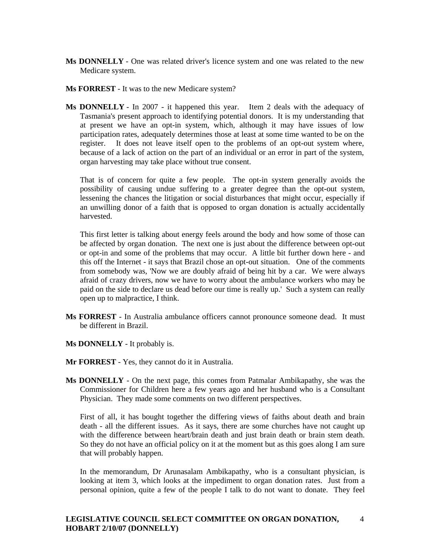- **Ms DONNELLY** One was related driver's licence system and one was related to the new Medicare system.
- **Ms FORREST** It was to the new Medicare system?
- **Ms DONNELLY**  In 2007 it happened this year. Item 2 deals with the adequacy of Tasmania's present approach to identifying potential donors. It is my understanding that at present we have an opt-in system, which, although it may have issues of low participation rates, adequately determines those at least at some time wanted to be on the register. It does not leave itself open to the problems of an opt-out system where, because of a lack of action on the part of an individual or an error in part of the system, organ harvesting may take place without true consent.

 That is of concern for quite a few people. The opt-in system generally avoids the possibility of causing undue suffering to a greater degree than the opt-out system, lessening the chances the litigation or social disturbances that might occur, especially if an unwilling donor of a faith that is opposed to organ donation is actually accidentally harvested.

 This first letter is talking about energy feels around the body and how some of those can be affected by organ donation. The next one is just about the difference between opt-out or opt-in and some of the problems that may occur. A little bit further down here - and this off the Internet - it says that Brazil chose an opt-out situation. One of the comments from somebody was, 'Now we are doubly afraid of being hit by a car. We were always afraid of crazy drivers, now we have to worry about the ambulance workers who may be paid on the side to declare us dead before our time is really up.' Such a system can really open up to malpractice, I think.

- **Ms FORREST** In Australia ambulance officers cannot pronounce someone dead. It must be different in Brazil.
- **Ms DONNELLY** It probably is.
- **Mr FORREST** Yes, they cannot do it in Australia.
- **Ms DONNELLY** On the next page, this comes from Patmalar Ambikapathy, she was the Commissioner for Children here a few years ago and her husband who is a Consultant Physician. They made some comments on two different perspectives.

 First of all, it has bought together the differing views of faiths about death and brain death - all the different issues. As it says, there are some churches have not caught up with the difference between heart/brain death and just brain death or brain stem death. So they do not have an official policy on it at the moment but as this goes along I am sure that will probably happen.

 In the memorandum, Dr Arunasalam Ambikapathy, who is a consultant physician, is looking at item 3, which looks at the impediment to organ donation rates. Just from a personal opinion, quite a few of the people I talk to do not want to donate. They feel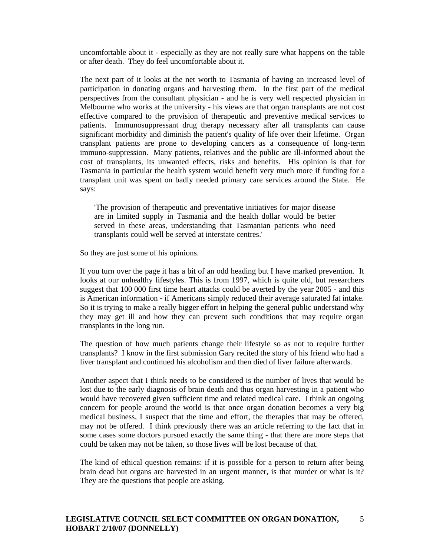uncomfortable about it - especially as they are not really sure what happens on the table or after death. They do feel uncomfortable about it.

 The next part of it looks at the net worth to Tasmania of having an increased level of participation in donating organs and harvesting them. In the first part of the medical perspectives from the consultant physician - and he is very well respected physician in Melbourne who works at the university - his views are that organ transplants are not cost effective compared to the provision of therapeutic and preventive medical services to patients. Immunosuppressant drug therapy necessary after all transplants can cause significant morbidity and diminish the patient's quality of life over their lifetime. Organ transplant patients are prone to developing cancers as a consequence of long-term immuno-suppression. Many patients, relatives and the public are ill-informed about the cost of transplants, its unwanted effects, risks and benefits. His opinion is that for Tasmania in particular the health system would benefit very much more if funding for a transplant unit was spent on badly needed primary care services around the State. He says:

'The provision of therapeutic and preventative initiatives for major disease are in limited supply in Tasmania and the health dollar would be better served in these areas, understanding that Tasmanian patients who need transplants could well be served at interstate centres.'

So they are just some of his opinions.

 If you turn over the page it has a bit of an odd heading but I have marked prevention. It looks at our unhealthy lifestyles. This is from 1997, which is quite old, but researchers suggest that 100 000 first time heart attacks could be averted by the year 2005 - and this is American information - if Americans simply reduced their average saturated fat intake. So it is trying to make a really bigger effort in helping the general public understand why they may get ill and how they can prevent such conditions that may require organ transplants in the long run.

 The question of how much patients change their lifestyle so as not to require further transplants? I know in the first submission Gary recited the story of his friend who had a liver transplant and continued his alcoholism and then died of liver failure afterwards.

 Another aspect that I think needs to be considered is the number of lives that would be lost due to the early diagnosis of brain death and thus organ harvesting in a patient who would have recovered given sufficient time and related medical care. I think an ongoing concern for people around the world is that once organ donation becomes a very big medical business, I suspect that the time and effort, the therapies that may be offered, may not be offered. I think previously there was an article referring to the fact that in some cases some doctors pursued exactly the same thing - that there are more steps that could be taken may not be taken, so those lives will be lost because of that.

 The kind of ethical question remains: if it is possible for a person to return after being brain dead but organs are harvested in an urgent manner, is that murder or what is it? They are the questions that people are asking.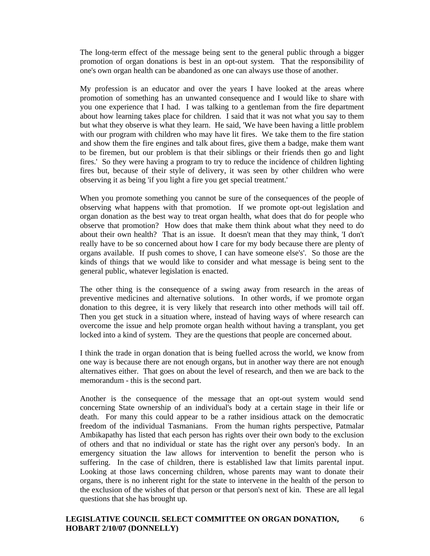The long-term effect of the message being sent to the general public through a bigger promotion of organ donations is best in an opt-out system. That the responsibility of one's own organ health can be abandoned as one can always use those of another.

 My profession is an educator and over the years I have looked at the areas where promotion of something has an unwanted consequence and I would like to share with you one experience that I had. I was talking to a gentleman from the fire department about how learning takes place for children. I said that it was not what you say to them but what they observe is what they learn. He said, 'We have been having a little problem with our program with children who may have lit fires. We take them to the fire station and show them the fire engines and talk about fires, give them a badge, make them want to be firemen, but our problem is that their siblings or their friends then go and light fires.' So they were having a program to try to reduce the incidence of children lighting fires but, because of their style of delivery, it was seen by other children who were observing it as being 'if you light a fire you get special treatment.'

 When you promote something you cannot be sure of the consequences of the people of observing what happens with that promotion. If we promote opt-out legislation and organ donation as the best way to treat organ health, what does that do for people who observe that promotion? How does that make them think about what they need to do about their own health? That is an issue. It doesn't mean that they may think, 'I don't really have to be so concerned about how I care for my body because there are plenty of organs available. If push comes to shove, I can have someone else's'. So those are the kinds of things that we would like to consider and what message is being sent to the general public, whatever legislation is enacted.

 The other thing is the consequence of a swing away from research in the areas of preventive medicines and alternative solutions. In other words, if we promote organ donation to this degree, it is very likely that research into other methods will tail off. Then you get stuck in a situation where, instead of having ways of where research can overcome the issue and help promote organ health without having a transplant, you get locked into a kind of system. They are the questions that people are concerned about.

 I think the trade in organ donation that is being fuelled across the world, we know from one way is because there are not enough organs, but in another way there are not enough alternatives either. That goes on about the level of research, and then we are back to the memorandum - this is the second part.

 Another is the consequence of the message that an opt-out system would send concerning State ownership of an individual's body at a certain stage in their life or death. For many this could appear to be a rather insidious attack on the democratic freedom of the individual Tasmanians. From the human rights perspective, Patmalar Ambikapathy has listed that each person has rights over their own body to the exclusion of others and that no individual or state has the right over any person's body. In an emergency situation the law allows for intervention to benefit the person who is suffering. In the case of children, there is established law that limits parental input. Looking at those laws concerning children, whose parents may want to donate their organs, there is no inherent right for the state to intervene in the health of the person to the exclusion of the wishes of that person or that person's next of kin. These are all legal questions that she has brought up.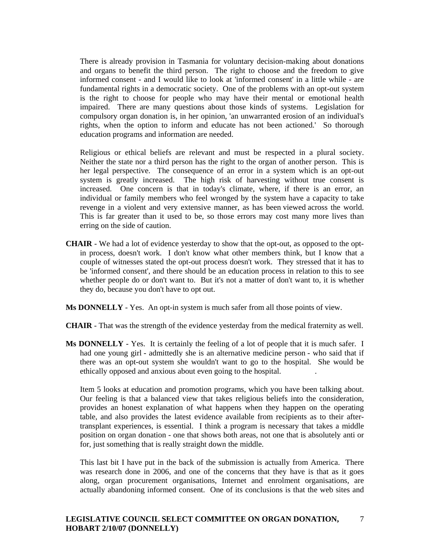There is already provision in Tasmania for voluntary decision-making about donations and organs to benefit the third person. The right to choose and the freedom to give informed consent - and I would like to look at 'informed consent' in a little while - are fundamental rights in a democratic society. One of the problems with an opt-out system is the right to choose for people who may have their mental or emotional health impaired. There are many questions about those kinds of systems. Legislation for compulsory organ donation is, in her opinion, 'an unwarranted erosion of an individual's rights, when the option to inform and educate has not been actioned.' So thorough education programs and information are needed.

 Religious or ethical beliefs are relevant and must be respected in a plural society. Neither the state nor a third person has the right to the organ of another person. This is her legal perspective. The consequence of an error in a system which is an opt-out system is greatly increased. The high risk of harvesting without true consent is increased. One concern is that in today's climate, where, if there is an error, an individual or family members who feel wronged by the system have a capacity to take revenge in a violent and very extensive manner, as has been viewed across the world. This is far greater than it used to be, so those errors may cost many more lives than erring on the side of caution.

- **CHAIR**  We had a lot of evidence yesterday to show that the opt-out, as opposed to the optin process, doesn't work. I don't know what other members think, but I know that a couple of witnesses stated the opt-out process doesn't work. They stressed that it has to be 'informed consent', and there should be an education process in relation to this to see whether people do or don't want to. But it's not a matter of don't want to, it is whether they do, because you don't have to opt out.
- **Ms DONNELLY**  Yes. An opt-in system is much safer from all those points of view.
- **CHAIR**  That was the strength of the evidence yesterday from the medical fraternity as well.
- **Ms DONNELLY**  Yes. It is certainly the feeling of a lot of people that it is much safer. I had one young girl - admittedly she is an alternative medicine person - who said that if there was an opt-out system she wouldn't want to go to the hospital. She would be ethically opposed and anxious about even going to the hospital. .

 Item 5 looks at education and promotion programs, which you have been talking about. Our feeling is that a balanced view that takes religious beliefs into the consideration, provides an honest explanation of what happens when they happen on the operating table, and also provides the latest evidence available from recipients as to their aftertransplant experiences, is essential. I think a program is necessary that takes a middle position on organ donation - one that shows both areas, not one that is absolutely anti or for, just something that is really straight down the middle.

 This last bit I have put in the back of the submission is actually from America. There was research done in 2006, and one of the concerns that they have is that as it goes along, organ procurement organisations, Internet and enrolment organisations, are actually abandoning informed consent. One of its conclusions is that the web sites and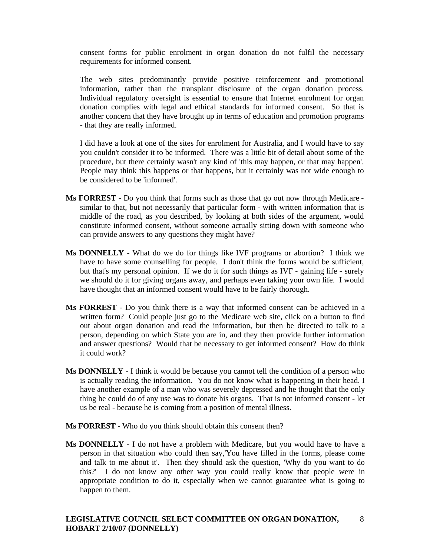consent forms for public enrolment in organ donation do not fulfil the necessary requirements for informed consent.

 The web sites predominantly provide positive reinforcement and promotional information, rather than the transplant disclosure of the organ donation process. Individual regulatory oversight is essential to ensure that Internet enrolment for organ donation complies with legal and ethical standards for informed consent. So that is another concern that they have brought up in terms of education and promotion programs - that they are really informed.

 I did have a look at one of the sites for enrolment for Australia, and I would have to say you couldn't consider it to be informed. There was a little bit of detail about some of the procedure, but there certainly wasn't any kind of 'this may happen, or that may happen'. People may think this happens or that happens, but it certainly was not wide enough to be considered to be 'informed'.

- **Ms FORREST** Do you think that forms such as those that go out now through Medicare similar to that, but not necessarily that particular form - with written information that is middle of the road, as you described, by looking at both sides of the argument, would constitute informed consent, without someone actually sitting down with someone who can provide answers to any questions they might have?
- **Ms DONNELLY**  What do we do for things like IVF programs or abortion? I think we have to have some counselling for people. I don't think the forms would be sufficient, but that's my personal opinion. If we do it for such things as IVF - gaining life - surely we should do it for giving organs away, and perhaps even taking your own life. I would have thought that an informed consent would have to be fairly thorough.
- **Ms FORREST** Do you think there is a way that informed consent can be achieved in a written form? Could people just go to the Medicare web site, click on a button to find out about organ donation and read the information, but then be directed to talk to a person, depending on which State you are in, and they then provide further information and answer questions? Would that be necessary to get informed consent? How do think it could work?
- **Ms DONNELLY** I think it would be because you cannot tell the condition of a person who is actually reading the information. You do not know what is happening in their head. I have another example of a man who was severely depressed and he thought that the only thing he could do of any use was to donate his organs. That is not informed consent - let us be real - because he is coming from a position of mental illness.
- **Ms FORREST** Who do you think should obtain this consent then?
- **Ms DONNELLY** I do not have a problem with Medicare, but you would have to have a person in that situation who could then say,'You have filled in the forms, please come and talk to me about it'. Then they should ask the question, 'Why do you want to do this?' I do not know any other way you could really know that people were in appropriate condition to do it, especially when we cannot guarantee what is going to happen to them.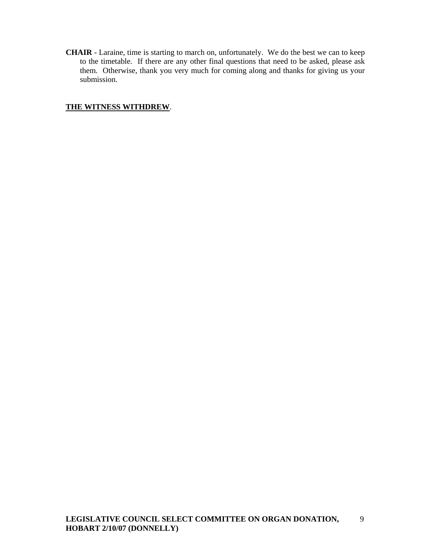**CHAIR** - Laraine, time is starting to march on, unfortunately. We do the best we can to keep to the timetable. If there are any other final questions that need to be asked, please ask them. Otherwise, thank you very much for coming along and thanks for giving us your submission.

# **THE WITNESS WITHDREW**.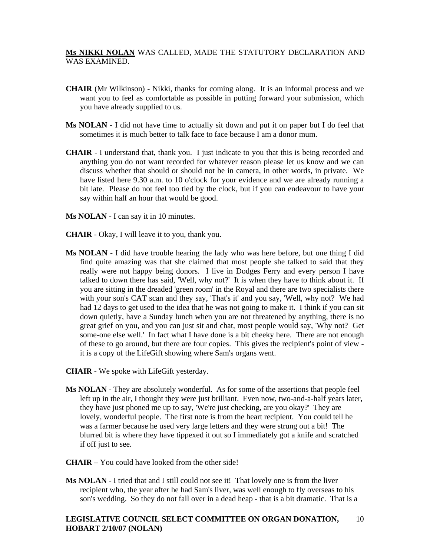# **Ms NIKKI NOLAN** WAS CALLED, MADE THE STATUTORY DECLARATION AND WAS EXAMINED.

- **CHAIR** (Mr Wilkinson) Nikki, thanks for coming along. It is an informal process and we want you to feel as comfortable as possible in putting forward your submission, which you have already supplied to us.
- **Ms NOLAN** I did not have time to actually sit down and put it on paper but I do feel that sometimes it is much better to talk face to face because I am a donor mum.
- **CHAIR**  I understand that, thank you. I just indicate to you that this is being recorded and anything you do not want recorded for whatever reason please let us know and we can discuss whether that should or should not be in camera, in other words, in private. We have listed here 9.30 a.m. to 10 o'clock for your evidence and we are already running a bit late. Please do not feel too tied by the clock, but if you can endeavour to have your say within half an hour that would be good.
- **Ms NOLAN** I can say it in 10 minutes.
- **CHAIR**  Okay, I will leave it to you, thank you.
- **Ms NOLAN** I did have trouble hearing the lady who was here before, but one thing I did find quite amazing was that she claimed that most people she talked to said that they really were not happy being donors. I live in Dodges Ferry and every person I have talked to down there has said, 'Well, why not?' It is when they have to think about it. If you are sitting in the dreaded 'green room' in the Royal and there are two specialists there with your son's CAT scan and they say, 'That's it' and you say, 'Well, why not? We had had 12 days to get used to the idea that he was not going to make it. I think if you can sit down quietly, have a Sunday lunch when you are not threatened by anything, there is no great grief on you, and you can just sit and chat, most people would say, 'Why not? Get some-one else well.' In fact what I have done is a bit cheeky here. There are not enough of these to go around, but there are four copies. This gives the recipient's point of view it is a copy of the LifeGift showing where Sam's organs went.
- **CHAIR** We spoke with LifeGift yesterday.
- **Ms NOLAN** They are absolutely wonderful. As for some of the assertions that people feel left up in the air, I thought they were just brilliant. Even now, two-and-a-half years later, they have just phoned me up to say, 'We're just checking, are you okay?' They are lovely, wonderful people. The first note is from the heart recipient. You could tell he was a farmer because he used very large letters and they were strung out a bit! The blurred bit is where they have tippexed it out so I immediately got a knife and scratched if off just to see.
- **CHAIR** You could have looked from the other side!
- **Ms NOLAN** I tried that and I still could not see it! That lovely one is from the liver recipient who, the year after he had Sam's liver, was well enough to fly overseas to his son's wedding. So they do not fall over in a dead heap - that is a bit dramatic. That is a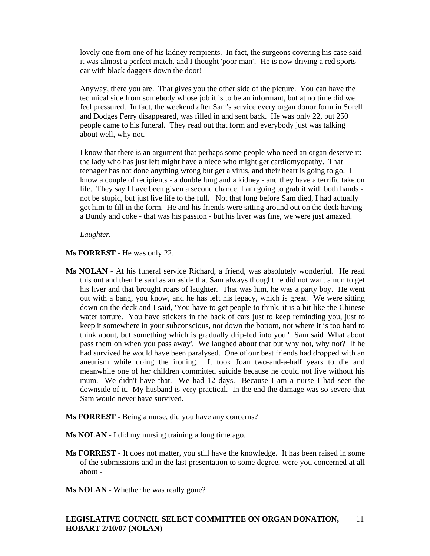lovely one from one of his kidney recipients. In fact, the surgeons covering his case said it was almost a perfect match, and I thought 'poor man'! He is now driving a red sports car with black daggers down the door!

 Anyway, there you are. That gives you the other side of the picture. You can have the technical side from somebody whose job it is to be an informant, but at no time did we feel pressured. In fact, the weekend after Sam's service every organ donor form in Sorell and Dodges Ferry disappeared, was filled in and sent back. He was only 22, but 250 people came to his funeral. They read out that form and everybody just was talking about well, why not.

 I know that there is an argument that perhaps some people who need an organ deserve it: the lady who has just left might have a niece who might get cardiomyopathy. That teenager has not done anything wrong but get a virus, and their heart is going to go. I know a couple of recipients - a double lung and a kidney - and they have a terrific take on life. They say I have been given a second chance, I am going to grab it with both hands not be stupid, but just live life to the full. Not that long before Sam died, I had actually got him to fill in the form. He and his friends were sitting around out on the deck having a Bundy and coke - that was his passion - but his liver was fine, we were just amazed.

*Laughter.* 

**Ms FORREST** - He was only 22.

- **Ms NOLAN** At his funeral service Richard, a friend, was absolutely wonderful. He read this out and then he said as an aside that Sam always thought he did not want a nun to get his liver and that brought roars of laughter. That was him, he was a party boy. He went out with a bang, you know, and he has left his legacy, which is great. We were sitting down on the deck and I said, 'You have to get people to think, it is a bit like the Chinese water torture. You have stickers in the back of cars just to keep reminding you, just to keep it somewhere in your subconscious, not down the bottom, not where it is too hard to think about, but something which is gradually drip-fed into you.' Sam said 'What about pass them on when you pass away'. We laughed about that but why not, why not? If he had survived he would have been paralysed. One of our best friends had dropped with an aneurism while doing the ironing. It took Joan two-and-a-half years to die and meanwhile one of her children committed suicide because he could not live without his mum. We didn't have that. We had 12 days. Because I am a nurse I had seen the downside of it. My husband is very practical. In the end the damage was so severe that Sam would never have survived.
- **Ms FORREST** Being a nurse, did you have any concerns?

Ms **NOLAN** - I did my nursing training a long time ago.

- **Ms FORREST** It does not matter, you still have the knowledge. It has been raised in some of the submissions and in the last presentation to some degree, were you concerned at all about -
- **Ms NOLAN** Whether he was really gone?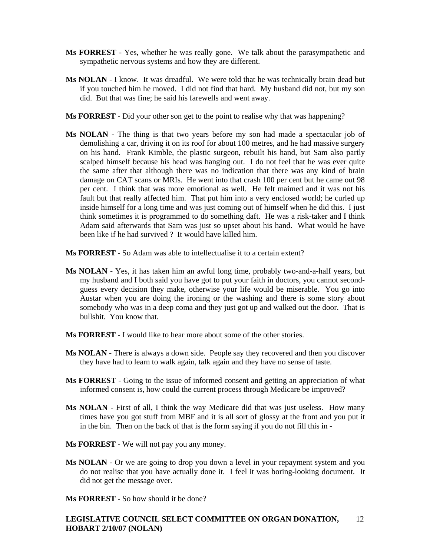- **Ms FORREST** Yes, whether he was really gone. We talk about the parasympathetic and sympathetic nervous systems and how they are different.
- **Ms NOLAN** I know. It was dreadful. We were told that he was technically brain dead but if you touched him he moved. I did not find that hard. My husband did not, but my son did. But that was fine; he said his farewells and went away.
- **Ms FORREST** Did your other son get to the point to realise why that was happening?
- **Ms NOLAN** The thing is that two years before my son had made a spectacular job of demolishing a car, driving it on its roof for about 100 metres, and he had massive surgery on his hand. Frank Kimble, the plastic surgeon, rebuilt his hand, but Sam also partly scalped himself because his head was hanging out. I do not feel that he was ever quite the same after that although there was no indication that there was any kind of brain damage on CAT scans or MRIs. He went into that crash 100 per cent but he came out 98 per cent. I think that was more emotional as well. He felt maimed and it was not his fault but that really affected him. That put him into a very enclosed world; he curled up inside himself for a long time and was just coming out of himself when he did this. I just think sometimes it is programmed to do something daft. He was a risk-taker and I think Adam said afterwards that Sam was just so upset about his hand. What would he have been like if he had survived ? It would have killed him.
- **Ms FORREST** So Adam was able to intellectualise it to a certain extent?
- **Ms NOLAN** Yes, it has taken him an awful long time, probably two-and-a-half years, but my husband and I both said you have got to put your faith in doctors, you cannot secondguess every decision they make, otherwise your life would be miserable. You go into Austar when you are doing the ironing or the washing and there is some story about somebody who was in a deep coma and they just got up and walked out the door. That is bullshit. You know that.
- **Ms FORREST** I would like to hear more about some of the other stories.
- **Ms NOLAN** There is always a down side. People say they recovered and then you discover they have had to learn to walk again, talk again and they have no sense of taste.
- **Ms FORREST** Going to the issue of informed consent and getting an appreciation of what informed consent is, how could the current process through Medicare be improved?
- **Ms NOLAN** First of all, I think the way Medicare did that was just useless. How many times have you got stuff from MBF and it is all sort of glossy at the front and you put it in the bin. Then on the back of that is the form saying if you do not fill this in -
- **Ms FORREST** We will not pay you any money.
- Ms NOLAN Or we are going to drop you down a level in your repayment system and you do not realise that you have actually done it. I feel it was boring-looking document. It did not get the message over.
- **Ms FORREST** So how should it be done?

#### **LEGISLATIVE COUNCIL SELECT COMMITTEE ON ORGAN DONATION, HOBART 2/10/07 (NOLAN)**  12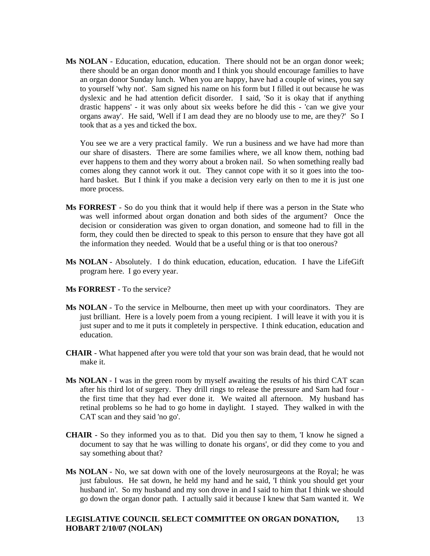**Ms NOLAN** - Education, education, education. There should not be an organ donor week; there should be an organ donor month and I think you should encourage families to have an organ donor Sunday lunch. When you are happy, have had a couple of wines, you say to yourself 'why not'. Sam signed his name on his form but I filled it out because he was dyslexic and he had attention deficit disorder. I said, 'So it is okay that if anything drastic happens' - it was only about six weeks before he did this - 'can we give your organs away'. He said, 'Well if I am dead they are no bloody use to me, are they?' So I took that as a yes and ticked the box.

 You see we are a very practical family. We run a business and we have had more than our share of disasters. There are some families where, we all know them, nothing bad ever happens to them and they worry about a broken nail. So when something really bad comes along they cannot work it out. They cannot cope with it so it goes into the toohard basket. But I think if you make a decision very early on then to me it is just one more process.

- **Ms FORREST** So do you think that it would help if there was a person in the State who was well informed about organ donation and both sides of the argument? Once the decision or consideration was given to organ donation, and someone had to fill in the form, they could then be directed to speak to this person to ensure that they have got all the information they needed. Would that be a useful thing or is that too onerous?
- **Ms NOLAN** Absolutely. I do think education, education, education. I have the LifeGift program here. I go every year.
- **Ms FORREST** To the service?
- **Ms NOLAN**  To the service in Melbourne, then meet up with your coordinators. They are just brilliant. Here is a lovely poem from a young recipient. I will leave it with you it is just super and to me it puts it completely in perspective. I think education, education and education.
- **CHAIR**  What happened after you were told that your son was brain dead, that he would not make it.
- **Ms NOLAN** I was in the green room by myself awaiting the results of his third CAT scan after his third lot of surgery. They drill rings to release the pressure and Sam had four the first time that they had ever done it. We waited all afternoon. My husband has retinal problems so he had to go home in daylight. I stayed. They walked in with the CAT scan and they said 'no go'.
- **CHAIR**  So they informed you as to that. Did you then say to them, 'I know he signed a document to say that he was willing to donate his organs', or did they come to you and say something about that?
- **Ms NOLAN** No, we sat down with one of the lovely neurosurgeons at the Royal; he was just fabulous. He sat down, he held my hand and he said, 'I think you should get your husband in'. So my husband and my son drove in and I said to him that I think we should go down the organ donor path. I actually said it because I knew that Sam wanted it. We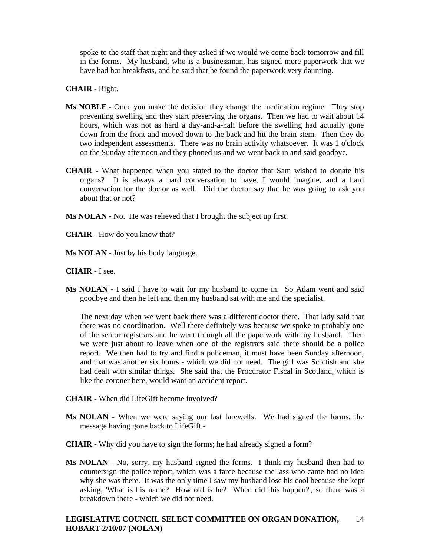spoke to the staff that night and they asked if we would we come back tomorrow and fill in the forms. My husband, who is a businessman, has signed more paperwork that we have had hot breakfasts, and he said that he found the paperwork very daunting.

### **CHAIR** - Right.

- **Ms NOBLE** Once you make the decision they change the medication regime. They stop preventing swelling and they start preserving the organs. Then we had to wait about 14 hours, which was not as hard a day-and-a-half before the swelling had actually gone down from the front and moved down to the back and hit the brain stem. Then they do two independent assessments. There was no brain activity whatsoever. It was 1 o'clock on the Sunday afternoon and they phoned us and we went back in and said goodbye.
- **CHAIR**  What happened when you stated to the doctor that Sam wished to donate his organs? It is always a hard conversation to have, I would imagine, and a hard conversation for the doctor as well. Did the doctor say that he was going to ask you about that or not?
- **Ms NOLAN** No. He was relieved that I brought the subject up first.
- **CHAIR**  How do you know that?
- **Ms NOLAN** Just by his body language.

### **CHAIR** - I see.

**Ms NOLAN** - I said I have to wait for my husband to come in. So Adam went and said goodbye and then he left and then my husband sat with me and the specialist.

 The next day when we went back there was a different doctor there. That lady said that there was no coordination. Well there definitely was because we spoke to probably one of the senior registrars and he went through all the paperwork with my husband. Then we were just about to leave when one of the registrars said there should be a police report. We then had to try and find a policeman, it must have been Sunday afternoon, and that was another six hours - which we did not need. The girl was Scottish and she had dealt with similar things. She said that the Procurator Fiscal in Scotland, which is like the coroner here, would want an accident report.

- **CHAIR**  When did LifeGift become involved?
- **Ms NOLAN** When we were saying our last farewells. We had signed the forms, the message having gone back to LifeGift -
- **CHAIR**  Why did you have to sign the forms; he had already signed a form?
- **Ms NOLAN** No, sorry, my husband signed the forms. I think my husband then had to countersign the police report, which was a farce because the lass who came had no idea why she was there. It was the only time I saw my husband lose his cool because she kept asking, 'What is his name? How old is he? When did this happen?', so there was a breakdown there - which we did not need.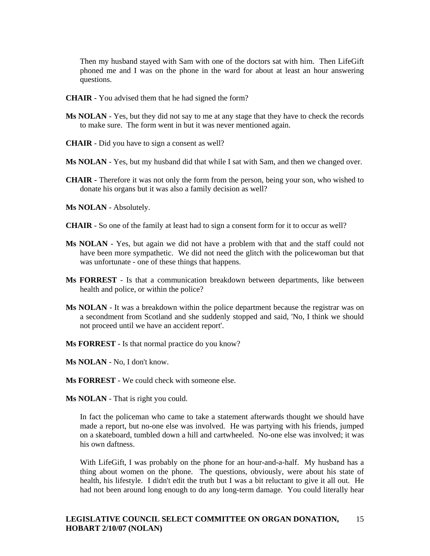Then my husband stayed with Sam with one of the doctors sat with him. Then LifeGift phoned me and I was on the phone in the ward for about at least an hour answering questions.

- **CHAIR**  You advised them that he had signed the form?
- **Ms NOLAN** Yes, but they did not say to me at any stage that they have to check the records to make sure. The form went in but it was never mentioned again.
- **CHAIR**  Did you have to sign a consent as well?
- **Ms NOLAN** Yes, but my husband did that while I sat with Sam, and then we changed over.
- **CHAIR -** Therefore it was not only the form from the person, being your son, who wished to donate his organs but it was also a family decision as well?
- **Ms NOLAN** Absolutely.
- **CHAIR**  So one of the family at least had to sign a consent form for it to occur as well?
- **Ms NOLAN** Yes, but again we did not have a problem with that and the staff could not have been more sympathetic. We did not need the glitch with the policewoman but that was unfortunate - one of these things that happens.
- **Ms FORREST** Is that a communication breakdown between departments, like between health and police, or within the police?
- **Ms NOLAN** It was a breakdown within the police department because the registrar was on a secondment from Scotland and she suddenly stopped and said, 'No, I think we should not proceed until we have an accident report'.
- **Ms FORREST** Is that normal practice do you know?
- **Ms NOLAN** No, I don't know.
- **Ms FORREST** We could check with someone else.
- **Ms NOLAN** That is right you could.

 In fact the policeman who came to take a statement afterwards thought we should have made a report, but no-one else was involved. He was partying with his friends, jumped on a skateboard, tumbled down a hill and cartwheeled. No-one else was involved; it was his own daftness.

 With LifeGift, I was probably on the phone for an hour-and-a-half. My husband has a thing about women on the phone. The questions, obviously, were about his state of health, his lifestyle. I didn't edit the truth but I was a bit reluctant to give it all out. He had not been around long enough to do any long-term damage. You could literally hear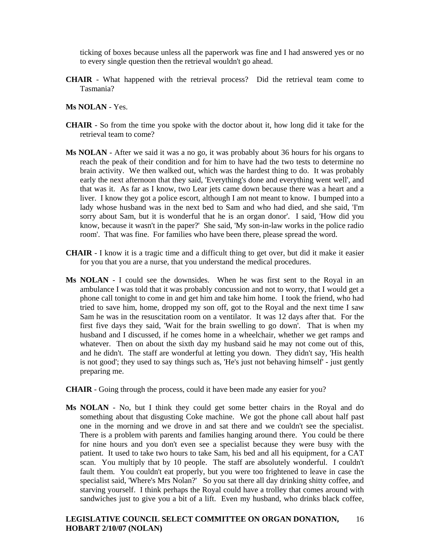ticking of boxes because unless all the paperwork was fine and I had answered yes or no to every single question then the retrieval wouldn't go ahead.

- **CHAIR** What happened with the retrieval process? Did the retrieval team come to Tasmania?
- **Ms NOLAN** Yes.
- **CHAIR** So from the time you spoke with the doctor about it, how long did it take for the retrieval team to come?
- **Ms NOLAN** After we said it was a no go, it was probably about 36 hours for his organs to reach the peak of their condition and for him to have had the two tests to determine no brain activity. We then walked out, which was the hardest thing to do. It was probably early the next afternoon that they said, 'Everything's done and everything went well', and that was it. As far as I know, two Lear jets came down because there was a heart and a liver. I know they got a police escort, although I am not meant to know. I bumped into a lady whose husband was in the next bed to Sam and who had died, and she said, 'I'm sorry about Sam, but it is wonderful that he is an organ donor'. I said, 'How did you know, because it wasn't in the paper?' She said, 'My son-in-law works in the police radio room'. That was fine. For families who have been there, please spread the word.
- **CHAIR** I know it is a tragic time and a difficult thing to get over, but did it make it easier for you that you are a nurse, that you understand the medical procedures.
- **Ms NOLAN** I could see the downsides. When he was first sent to the Royal in an ambulance I was told that it was probably concussion and not to worry, that I would get a phone call tonight to come in and get him and take him home. I took the friend, who had tried to save him, home, dropped my son off, got to the Royal and the next time I saw Sam he was in the resuscitation room on a ventilator. It was 12 days after that. For the first five days they said, 'Wait for the brain swelling to go down'. That is when my husband and I discussed, if he comes home in a wheelchair, whether we get ramps and whatever. Then on about the sixth day my husband said he may not come out of this, and he didn't. The staff are wonderful at letting you down. They didn't say, 'His health is not good'; they used to say things such as, 'He's just not behaving himself' - just gently preparing me.
- **CHAIR** Going through the process, could it have been made any easier for you?
- **Ms NOLAN** No, but I think they could get some better chairs in the Royal and do something about that disgusting Coke machine. We got the phone call about half past one in the morning and we drove in and sat there and we couldn't see the specialist. There is a problem with parents and families hanging around there. You could be there for nine hours and you don't even see a specialist because they were busy with the patient. It used to take two hours to take Sam, his bed and all his equipment, for a CAT scan. You multiply that by 10 people. The staff are absolutely wonderful. I couldn't fault them. You couldn't eat properly, but you were too frightened to leave in case the specialist said, 'Where's Mrs Nolan?' So you sat there all day drinking shitty coffee, and starving yourself. I think perhaps the Royal could have a trolley that comes around with sandwiches just to give you a bit of a lift. Even my husband, who drinks black coffee,

#### **LEGISLATIVE COUNCIL SELECT COMMITTEE ON ORGAN DONATION, HOBART 2/10/07 (NOLAN)**  16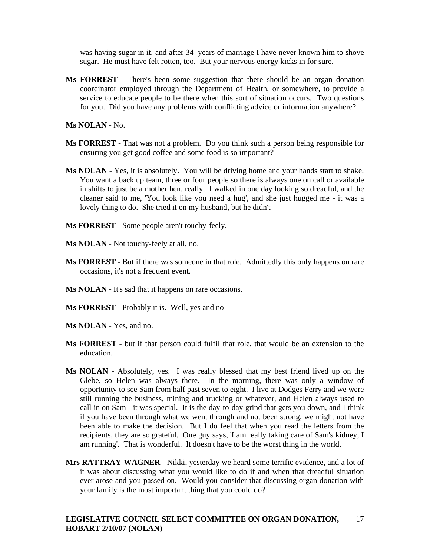was having sugar in it, and after 34 years of marriage I have never known him to shove sugar. He must have felt rotten, too. But your nervous energy kicks in for sure.

**Ms FORREST** - There's been some suggestion that there should be an organ donation coordinator employed through the Department of Health, or somewhere, to provide a service to educate people to be there when this sort of situation occurs. Two questions for you. Did you have any problems with conflicting advice or information anywhere?

**Ms NOLAN** - No.

- **Ms FORREST** That was not a problem. Do you think such a person being responsible for ensuring you get good coffee and some food is so important?
- **Ms NOLAN**  Yes, it is absolutely. You will be driving home and your hands start to shake. You want a back up team, three or four people so there is always one on call or available in shifts to just be a mother hen, really. I walked in one day looking so dreadful, and the cleaner said to me, 'You look like you need a hug', and she just hugged me - it was a lovely thing to do. She tried it on my husband, but he didn't -
- **Ms FORREST** Some people aren't touchy-feely.
- **Ms NOLAN**  Not touchy-feely at all, no.
- **Ms FORREST** But if there was someone in that role. Admittedly this only happens on rare occasions, it's not a frequent event.
- **Ms NOLAN**  It's sad that it happens on rare occasions.
- **Ms FORREST** Probably it is. Well, yes and no -
- **Ms NOLAN**  Yes, and no.
- **Ms FORREST** but if that person could fulfil that role, that would be an extension to the education.
- **Ms NOLAN**  Absolutely, yes. I was really blessed that my best friend lived up on the Glebe, so Helen was always there. In the morning, there was only a window of opportunity to see Sam from half past seven to eight. I live at Dodges Ferry and we were still running the business, mining and trucking or whatever, and Helen always used to call in on Sam - it was special. It is the day-to-day grind that gets you down, and I think if you have been through what we went through and not been strong, we might not have been able to make the decision. But I do feel that when you read the letters from the recipients, they are so grateful. One guy says, 'I am really taking care of Sam's kidney, I am running'. That is wonderful. It doesn't have to be the worst thing in the world.
- **Mrs RATTRAY-WAGNER** Nikki, yesterday we heard some terrific evidence, and a lot of it was about discussing what you would like to do if and when that dreadful situation ever arose and you passed on. Would you consider that discussing organ donation with your family is the most important thing that you could do?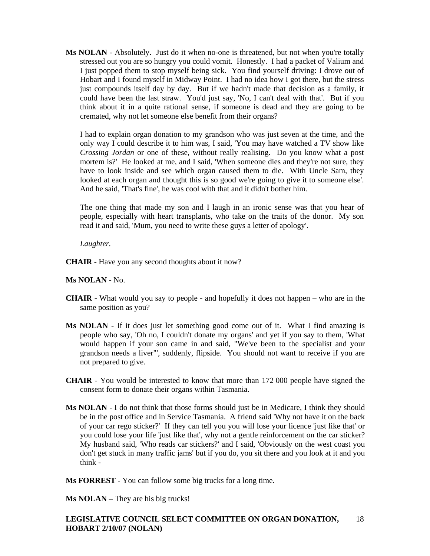**Ms NOLAN** - Absolutely. Just do it when no-one is threatened, but not when you're totally stressed out you are so hungry you could vomit. Honestly. I had a packet of Valium and I just popped them to stop myself being sick. You find yourself driving: I drove out of Hobart and I found myself in Midway Point. I had no idea how I got there, but the stress just compounds itself day by day. But if we hadn't made that decision as a family, it could have been the last straw. You'd just say, 'No, I can't deal with that'. But if you think about it in a quite rational sense, if someone is dead and they are going to be cremated, why not let someone else benefit from their organs?

 I had to explain organ donation to my grandson who was just seven at the time, and the only way I could describe it to him was, I said, 'You may have watched a TV show like *Crossing Jordan* or one of these, without really realising. Do you know what a post mortem is?' He looked at me, and I said, 'When someone dies and they're not sure, they have to look inside and see which organ caused them to die. With Uncle Sam, they looked at each organ and thought this is so good we're going to give it to someone else'. And he said, 'That's fine', he was cool with that and it didn't bother him.

 The one thing that made my son and I laugh in an ironic sense was that you hear of people, especially with heart transplants, who take on the traits of the donor. My son read it and said, 'Mum, you need to write these guys a letter of apology'.

## *Laughter.*

**CHAIR** - Have you any second thoughts about it now?

## **Ms NOLAN** - No.

- **CHAIR**  What would you say to people and hopefully it does not happen who are in the same position as you?
- **Ms NOLAN** If it does just let something good come out of it. What I find amazing is people who say, 'Oh no, I couldn't donate my organs' and yet if you say to them, 'What would happen if your son came in and said, "We've been to the specialist and your grandson needs a liver"', suddenly, flipside. You should not want to receive if you are not prepared to give.
- **CHAIR**  You would be interested to know that more than 172 000 people have signed the consent form to donate their organs within Tasmania.
- **Ms NOLAN** I do not think that those forms should just be in Medicare, I think they should be in the post office and in Service Tasmania. A friend said 'Why not have it on the back of your car rego sticker?' If they can tell you you will lose your licence 'just like that' or you could lose your life 'just like that', why not a gentle reinforcement on the car sticker? My husband said, 'Who reads car stickers?' and I said, 'Obviously on the west coast you don't get stuck in many traffic jams' but if you do, you sit there and you look at it and you think -

**Ms FORREST** - You can follow some big trucks for a long time.

**Ms NOLAN** – They are his big trucks!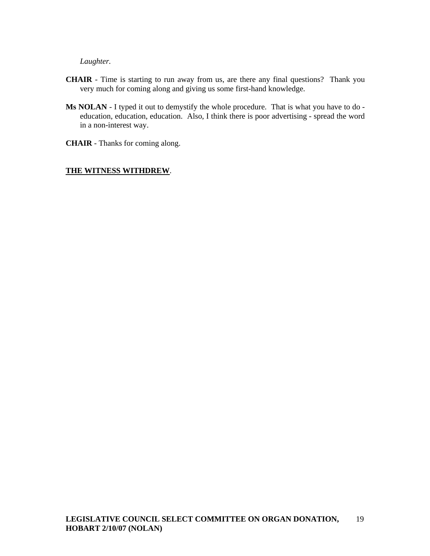*Laughter.* 

- **CHAIR**  Time is starting to run away from us, are there any final questions? Thank you very much for coming along and giving us some first-hand knowledge.
- **Ms NOLAN** I typed it out to demystify the whole procedure. That is what you have to do education, education, education. Also, I think there is poor advertising - spread the word in a non-interest way.
- **CHAIR**  Thanks for coming along.

### **THE WITNESS WITHDREW**.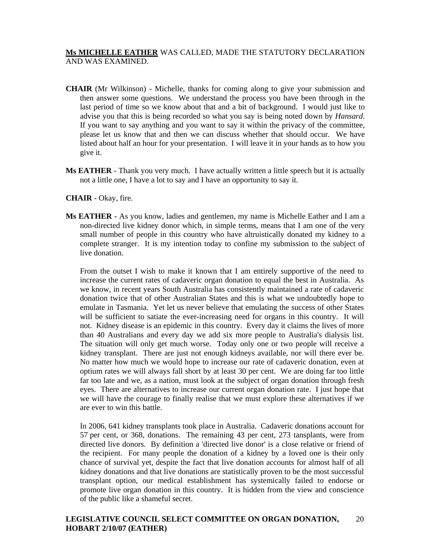# **Ms MICHELLE EATHER** WAS CALLED, MADE THE STATUTORY DECLARATION AND WAS EXAMINED.

- **CHAIR** (Mr Wilkinson) Michelle, thanks for coming along to give your submission and then answer some questions. We understand the process you have been through in the last period of time so we know about that and a bit of background. I would just like to advise you that this is being recorded so what you say is being noted down by *Hansard*. If you want to say anything and you want to say it within the privacy of the committee, please let us know that and then we can discuss whether that should occur. We have listed about half an hour for your presentation. I will leave it in your hands as to how you give it.
- **Ms EATHER** Thank you very much. I have actually written a little speech but it is actually not a little one, I have a lot to say and I have an opportunity to say it.

## **CHAIR** - Okay, fire.

**Ms EATHER** - As you know, ladies and gentlemen, my name is Michelle Eather and I am a non-directed live kidney donor which, in simple terms, means that I am one of the very small number of people in this country who have altruistically donated my kidney to a complete stranger. It is my intention today to confine my submission to the subject of live donation.

 From the outset I wish to make it known that I am entirely supportive of the need to increase the current rates of cadaveric organ donation to equal the best in Australia. As we know, in recent years South Australia has consistently maintained a rate of cadaveric donation twice that of other Australian States and this is what we undoubtedly hope to emulate in Tasmania. Yet let us never believe that emulating the success of other States will be sufficient to satiate the ever-increasing need for organs in this country. It will not. Kidney disease is an epidemic in this country. Every day it claims the lives of more than 40 Australians and every day we add six more people to Australia's dialysis list. The situation will only get much worse. Today only one or two people will receive a kidney transplant. There are just not enough kidneys available, nor will there ever be. No matter how much we would hope to increase our rate of cadaveric donation, even at optium rates we will always fall short by at least 30 per cent. We are doing far too little far too late and we, as a nation, must look at the subject of organ donation through fresh eyes. There are alternatives to increase our current organ donation rate. I just hope that we will have the courage to finally realise that we must explore these alternatives if we are ever to win this battle.

 In 2006, 641 kidney transplants took place in Australia. Cadaveric donations account for 57 per cent, or 368, donations. The remaining 43 per cent, 273 tansplants, were from directed live donors. By definition a 'directed live donor' is a close relative or friend of the recipient. For many people the donation of a kidney by a loved one is their only chance of survival yet, despite the fact that live donation accounts for almost half of all kidney donations and that live donations are statistically proven to be the most successful transplant option, our medical establishment has systemically failed to endorse or promote live organ donation in this country. It is hidden from the view and conscience of the public like a shameful secret.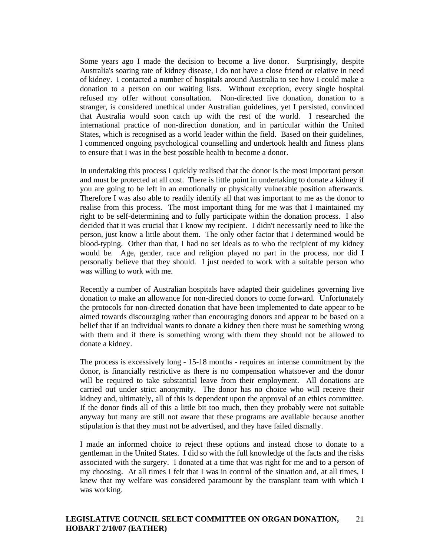Some years ago I made the decision to become a live donor. Surprisingly, despite Australia's soaring rate of kidney disease, I do not have a close friend or relative in need of kidney. I contacted a number of hospitals around Australia to see how I could make a donation to a person on our waiting lists. Without exception, every single hospital refused my offer without consultation. Non-directed live donation, donation to a stranger, is considered unethical under Australian guidelines, yet I persisted, convinced that Australia would soon catch up with the rest of the world. I researched the international practice of non-direction donation, and in particular within the United States, which is recognised as a world leader within the field. Based on their guidelines, I commenced ongoing psychological counselling and undertook health and fitness plans to ensure that I was in the best possible health to become a donor.

 In undertaking this process I quickly realised that the donor is the most important person and must be protected at all cost. There is little point in undertaking to donate a kidney if you are going to be left in an emotionally or physically vulnerable position afterwards. Therefore I was also able to readily identify all that was important to me as the donor to realise from this process. The most important thing for me was that I maintained my right to be self-determining and to fully participate within the donation process. I also decided that it was crucial that I know my recipient. I didn't necessarily need to like the person, just know a little about them. The only other factor that I determined would be blood-typing. Other than that, I had no set ideals as to who the recipient of my kidney would be. Age, gender, race and religion played no part in the process, nor did I personally believe that they should. I just needed to work with a suitable person who was willing to work with me.

 Recently a number of Australian hospitals have adapted their guidelines governing live donation to make an allowance for non-directed donors to come forward. Unfortunately the protocols for non-directed donation that have been implemented to date appear to be aimed towards discouraging rather than encouraging donors and appear to be based on a belief that if an individual wants to donate a kidney then there must be something wrong with them and if there is something wrong with them they should not be allowed to donate a kidney.

 The process is excessively long - 15-18 months - requires an intense commitment by the donor, is financially restrictive as there is no compensation whatsoever and the donor will be required to take substantial leave from their employment. All donations are carried out under strict anonymity. The donor has no choice who will receive their kidney and, ultimately, all of this is dependent upon the approval of an ethics committee. If the donor finds all of this a little bit too much, then they probably were not suitable anyway but many are still not aware that these programs are available because another stipulation is that they must not be advertised, and they have failed dismally.

 I made an informed choice to reject these options and instead chose to donate to a gentleman in the United States. I did so with the full knowledge of the facts and the risks associated with the surgery. I donated at a time that was right for me and to a person of my choosing. At all times I felt that I was in control of the situation and, at all times, I knew that my welfare was considered paramount by the transplant team with which I was working.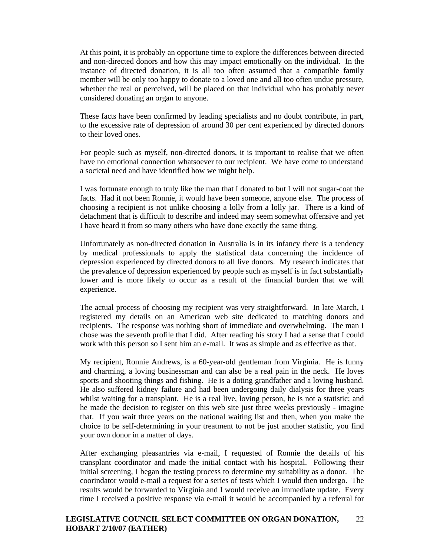At this point, it is probably an opportune time to explore the differences between directed and non-directed donors and how this may impact emotionally on the individual. In the instance of directed donation, it is all too often assumed that a compatible family member will be only too happy to donate to a loved one and all too often undue pressure, whether the real or perceived, will be placed on that individual who has probably never considered donating an organ to anyone.

 These facts have been confirmed by leading specialists and no doubt contribute, in part, to the excessive rate of depression of around 30 per cent experienced by directed donors to their loved ones.

 For people such as myself, non-directed donors, it is important to realise that we often have no emotional connection whatsoever to our recipient. We have come to understand a societal need and have identified how we might help.

 I was fortunate enough to truly like the man that I donated to but I will not sugar-coat the facts. Had it not been Ronnie, it would have been someone, anyone else. The process of choosing a recipient is not unlike choosing a lolly from a lolly jar. There is a kind of detachment that is difficult to describe and indeed may seem somewhat offensive and yet I have heard it from so many others who have done exactly the same thing.

 Unfortunately as non-directed donation in Australia is in its infancy there is a tendency by medical professionals to apply the statistical data concerning the incidence of depression experienced by directed donors to all live donors. My research indicates that the prevalence of depression experienced by people such as myself is in fact substantially lower and is more likely to occur as a result of the financial burden that we will experience.

 The actual process of choosing my recipient was very straightforward. In late March, I registered my details on an American web site dedicated to matching donors and recipients. The response was nothing short of immediate and overwhelming. The man I chose was the seventh profile that I did. After reading his story I had a sense that I could work with this person so I sent him an e-mail. It was as simple and as effective as that.

 My recipient, Ronnie Andrews, is a 60-year-old gentleman from Virginia. He is funny and charming, a loving businessman and can also be a real pain in the neck. He loves sports and shooting things and fishing. He is a doting grandfather and a loving husband. He also suffered kidney failure and had been undergoing daily dialysis for three years whilst waiting for a transplant. He is a real live, loving person, he is not a statistic; and he made the decision to register on this web site just three weeks previously - imagine that. If you wait three years on the national waiting list and then, when you make the choice to be self-determining in your treatment to not be just another statistic, you find your own donor in a matter of days.

 After exchanging pleasantries via e-mail, I requested of Ronnie the details of his transplant coordinator and made the initial contact with his hospital. Following their initial screening, I began the testing process to determine my suitability as a donor. The coorindator would e-mail a request for a series of tests which I would then undergo. The results would be forwarded to Virginia and I would receive an immediate update. Every time I received a positive response via e-mail it would be accompanied by a referral for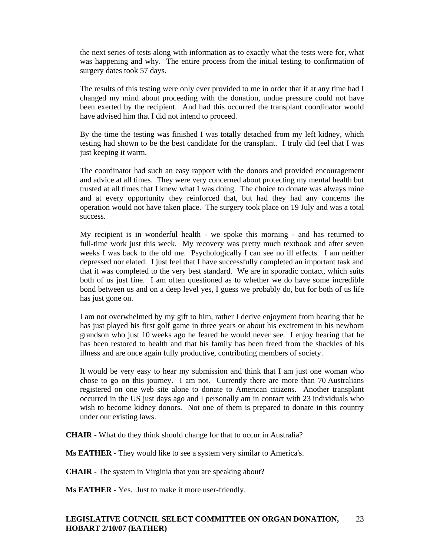the next series of tests along with information as to exactly what the tests were for, what was happening and why. The entire process from the initial testing to confirmation of surgery dates took 57 days.

 The results of this testing were only ever provided to me in order that if at any time had I changed my mind about proceeding with the donation, undue pressure could not have been exerted by the recipient. And had this occurred the transplant coordinator would have advised him that I did not intend to proceed.

 By the time the testing was finished I was totally detached from my left kidney, which testing had shown to be the best candidate for the transplant. I truly did feel that I was just keeping it warm.

 The coordinator had such an easy rapport with the donors and provided encouragement and advice at all times. They were very concerned about protecting my mental health but trusted at all times that I knew what I was doing. The choice to donate was always mine and at every opportunity they reinforced that, but had they had any concerns the operation would not have taken place. The surgery took place on 19 July and was a total success.

 My recipient is in wonderful health - we spoke this morning - and has returned to full-time work just this week. My recovery was pretty much textbook and after seven weeks I was back to the old me. Psychologically I can see no ill effects. I am neither depressed nor elated. I just feel that I have successfully completed an important task and that it was completed to the very best standard. We are in sporadic contact, which suits both of us just fine. I am often questioned as to whether we do have some incredible bond between us and on a deep level yes, I guess we probably do, but for both of us life has just gone on.

 I am not overwhelmed by my gift to him, rather I derive enjoyment from hearing that he has just played his first golf game in three years or about his excitement in his newborn grandson who just 10 weeks ago he feared he would never see. I enjoy hearing that he has been restored to health and that his family has been freed from the shackles of his illness and are once again fully productive, contributing members of society.

 It would be very easy to hear my submission and think that I am just one woman who chose to go on this journey. I am not. Currently there are more than 70 Australians registered on one web site alone to donate to American citizens. Another transplant occurred in the US just days ago and I personally am in contact with 23 individuals who wish to become kidney donors. Not one of them is prepared to donate in this country under our existing laws.

**CHAIR** - What do they think should change for that to occur in Australia?

**Ms EATHER** - They would like to see a system very similar to America's.

**CHAIR** - The system in Virginia that you are speaking about?

**Ms EATHER** - Yes. Just to make it more user-friendly.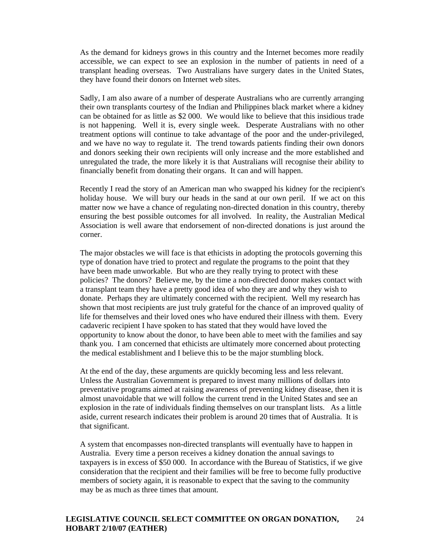As the demand for kidneys grows in this country and the Internet becomes more readily accessible, we can expect to see an explosion in the number of patients in need of a transplant heading overseas. Two Australians have surgery dates in the United States, they have found their donors on Internet web sites.

 Sadly, I am also aware of a number of desperate Australians who are currently arranging their own transplants courtesy of the Indian and Philippines black market where a kidney can be obtained for as little as \$2 000. We would like to believe that this insidious trade is not happening. Well it is, every single week. Desperate Australians with no other treatment options will continue to take advantage of the poor and the under-privileged, and we have no way to regulate it. The trend towards patients finding their own donors and donors seeking their own recipients will only increase and the more established and unregulated the trade, the more likely it is that Australians will recognise their ability to financially benefit from donating their organs. It can and will happen.

 Recently I read the story of an American man who swapped his kidney for the recipient's holiday house. We will bury our heads in the sand at our own peril. If we act on this matter now we have a chance of regulating non-directed donation in this country, thereby ensuring the best possible outcomes for all involved. In reality, the Australian Medical Association is well aware that endorsement of non-directed donations is just around the corner.

 The major obstacles we will face is that ethicists in adopting the protocols governing this type of donation have tried to protect and regulate the programs to the point that they have been made unworkable. But who are they really trying to protect with these policies? The donors? Believe me, by the time a non-directed donor makes contact with a transplant team they have a pretty good idea of who they are and why they wish to donate. Perhaps they are ultimately concerned with the recipient. Well my research has shown that most recipients are just truly grateful for the chance of an improved quality of life for themselves and their loved ones who have endured their illness with them. Every cadaveric recipient I have spoken to has stated that they would have loved the opportunity to know about the donor, to have been able to meet with the families and say thank you. I am concerned that ethicists are ultimately more concerned about protecting the medical establishment and I believe this to be the major stumbling block.

 At the end of the day, these arguments are quickly becoming less and less relevant. Unless the Australian Government is prepared to invest many millions of dollars into preventative programs aimed at raising awareness of preventing kidney disease, then it is almost unavoidable that we will follow the current trend in the United States and see an explosion in the rate of individuals finding themselves on our transplant lists. As a little aside, current research indicates their problem is around 20 times that of Australia. It is that significant.

 A system that encompasses non-directed transplants will eventually have to happen in Australia. Every time a person receives a kidney donation the annual savings to taxpayers is in excess of \$50 000. In accordance with the Bureau of Statistics, if we give consideration that the recipient and their families will be free to become fully productive members of society again, it is reasonable to expect that the saving to the community may be as much as three times that amount.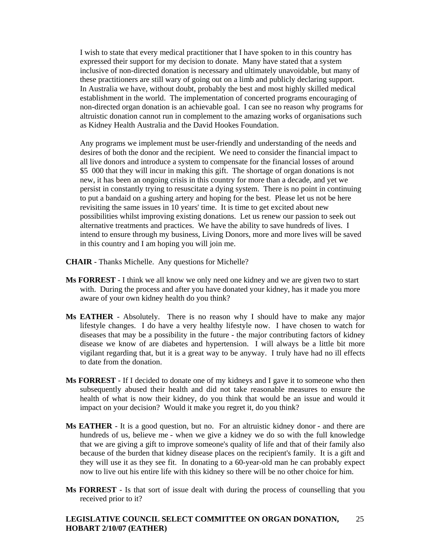I wish to state that every medical practitioner that I have spoken to in this country has expressed their support for my decision to donate. Many have stated that a system inclusive of non-directed donation is necessary and ultimately unavoidable, but many of these practitioners are still wary of going out on a limb and publicly declaring support. In Australia we have, without doubt, probably the best and most highly skilled medical establishment in the world. The implementation of concerted programs encouraging of non-directed organ donation is an achievable goal. I can see no reason why programs for altruistic donation cannot run in complement to the amazing works of organisations such as Kidney Health Australia and the David Hookes Foundation.

 Any programs we implement must be user-friendly and understanding of the needs and desires of both the donor and the recipient. We need to consider the financial impact to all live donors and introduce a system to compensate for the financial losses of around \$5 000 that they will incur in making this gift. The shortage of organ donations is not new, it has been an ongoing crisis in this country for more than a decade, and yet we persist in constantly trying to resuscitate a dying system. There is no point in continuing to put a bandaid on a gushing artery and hoping for the best. Please let us not be here revisiting the same issues in 10 years' time. It is time to get excited about new possibilities whilst improving existing donations. Let us renew our passion to seek out alternative treatments and practices. We have the ability to save hundreds of lives. I intend to ensure through my business, Living Donors, more and more lives will be saved in this country and I am hoping you will join me.

- **CHAIR** Thanks Michelle. Any questions for Michelle?
- **Ms FORREST** I think we all know we only need one kidney and we are given two to start with. During the process and after you have donated your kidney, has it made you more aware of your own kidney health do you think?
- **Ms EATHER** Absolutely. There is no reason why I should have to make any major lifestyle changes. I do have a very healthy lifestyle now. I have chosen to watch for diseases that may be a possibility in the future - the major contributing factors of kidney disease we know of are diabetes and hypertension. I will always be a little bit more vigilant regarding that, but it is a great way to be anyway. I truly have had no ill effects to date from the donation.
- **Ms FORREST** If I decided to donate one of my kidneys and I gave it to someone who then subsequently abused their health and did not take reasonable measures to ensure the health of what is now their kidney, do you think that would be an issue and would it impact on your decision? Would it make you regret it, do you think?
- **Ms EATHER** It is a good question, but no. For an altruistic kidney donor and there are hundreds of us, believe me - when we give a kidney we do so with the full knowledge that we are giving a gift to improve someone's quality of life and that of their family also because of the burden that kidney disease places on the recipient's family. It is a gift and they will use it as they see fit. In donating to a 60-year-old man he can probably expect now to live out his entire life with this kidney so there will be no other choice for him.
- **Ms FORREST** Is that sort of issue dealt with during the process of counselling that you received prior to it?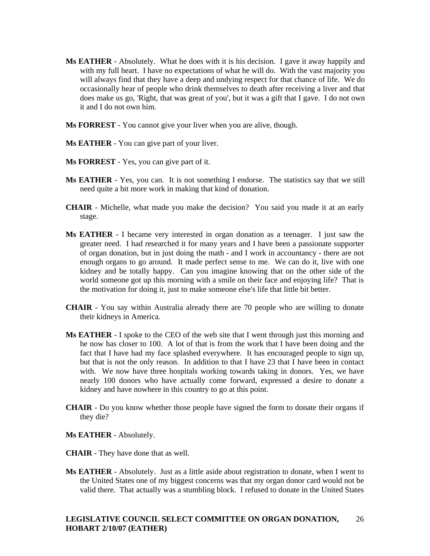- **Ms EATHER** Absolutely. What he does with it is his decision. I gave it away happily and with my full heart. I have no expectations of what he will do. With the vast majority you will always find that they have a deep and undying respect for that chance of life. We do occasionally hear of people who drink themselves to death after receiving a liver and that does make us go, 'Right, that was great of you', but it was a gift that I gave. I do not own it and I do not own him.
- **Ms FORREST** You cannot give your liver when you are alive, though.
- **Ms EATHER** You can give part of your liver.
- **Ms FORREST** Yes, you can give part of it.
- **Ms EATHER** Yes, you can. It is not something I endorse. The statistics say that we still need quite a bit more work in making that kind of donation.
- **CHAIR**  Michelle, what made you make the decision? You said you made it at an early stage.
- **Ms EATHER** I became very interested in organ donation as a teenager. I just saw the greater need. I had researched it for many years and I have been a passionate supporter of organ donation, but in just doing the math - and I work in accountancy - there are not enough organs to go around. It made perfect sense to me. We can do it, live with one kidney and be totally happy. Can you imagine knowing that on the other side of the world someone got up this morning with a smile on their face and enjoying life? That is the motivation for doing it, just to make someone else's life that little bit better.
- **CHAIR**  You say within Australia already there are 70 people who are willing to donate their kidneys in America.
- **Ms EATHER** I spoke to the CEO of the web site that I went through just this morning and he now has closer to 100. A lot of that is from the work that I have been doing and the fact that I have had my face splashed everywhere. It has encouraged people to sign up, but that is not the only reason. In addition to that I have 23 that I have been in contact with. We now have three hospitals working towards taking in donors. Yes, we have nearly 100 donors who have actually come forward, expressed a desire to donate a kidney and have nowhere in this country to go at this point.
- **CHAIR**  Do you know whether those people have signed the form to donate their organs if they die?
- **Ms EATHER** Absolutely.
- **CHAIR**  They have done that as well.
- **Ms EATHER** Absolutely. Just as a little aside about registration to donate, when I went to the United States one of my biggest concerns was that my organ donor card would not be valid there. That actually was a stumbling block. I refused to donate in the United States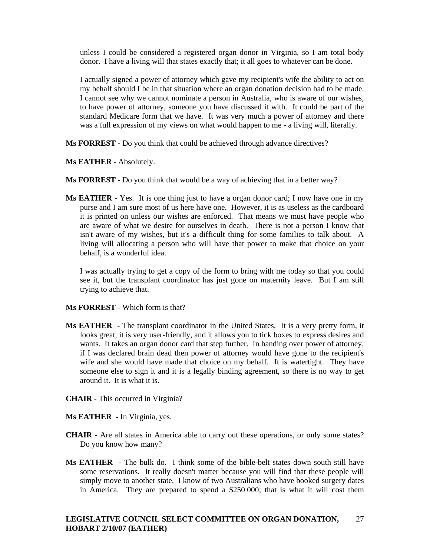unless I could be considered a registered organ donor in Virginia, so I am total body donor. I have a living will that states exactly that; it all goes to whatever can be done.

 I actually signed a power of attorney which gave my recipient's wife the ability to act on my behalf should I be in that situation where an organ donation decision had to be made. I cannot see why we cannot nominate a person in Australia, who is aware of our wishes, to have power of attorney, someone you have discussed it with. It could be part of the standard Medicare form that we have. It was very much a power of attorney and there was a full expression of my views on what would happen to me - a living will, literally.

**Ms FORREST** - Do you think that could be achieved through advance directives?

**Ms EATHER** - Absolutely.

**Ms FORREST** - Do you think that would be a way of achieving that in a better way?

**Ms EATHER** - Yes. It is one thing just to have a organ donor card; I now have one in my purse and I am sure most of us here have one. However, it is as useless as the cardboard it is printed on unless our wishes are enforced. That means we must have people who are aware of what we desire for ourselves in death. There is not a person I know that isn't aware of my wishes, but it's a difficult thing for some families to talk about. A living will allocating a person who will have that power to make that choice on your behalf, is a wonderful idea.

 I was actually trying to get a copy of the form to bring with me today so that you could see it, but the transplant coordinator has just gone on maternity leave. But I am still trying to achieve that.

**Ms FORREST** - Which form is that?

- **Ms EATHER** The transplant coordinator in the United States. It is a very pretty form, it looks great, it is very user-friendly, and it allows you to tick boxes to express desires and wants. It takes an organ donor card that step further. In handing over power of attorney, if I was declared brain dead then power of attorney would have gone to the recipient's wife and she would have made that choice on my behalf. It is watertight. They have someone else to sign it and it is a legally binding agreement, so there is no way to get around it. It is what it is.
- **CHAIR**  This occurred in Virginia?
- **Ms EATHER** In Virginia, yes.
- **CHAIR**  Are all states in America able to carry out these operations, or only some states? Do you know how many?
- **Ms EATHER** The bulk do. I think some of the bible-belt states down south still have some reservations. It really doesn't matter because you will find that these people will simply move to another state. I know of two Australians who have booked surgery dates in America. They are prepared to spend a \$250 000; that is what it will cost them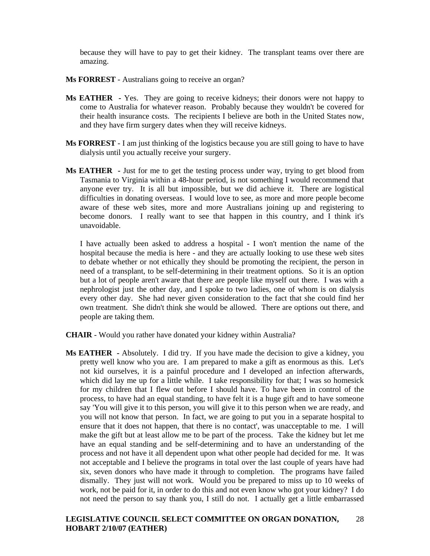because they will have to pay to get their kidney. The transplant teams over there are amazing.

- **Ms FORREST** Australians going to receive an organ?
- **Ms EATHER** Yes. They are going to receive kidneys; their donors were not happy to come to Australia for whatever reason. Probably because they wouldn't be covered for their health insurance costs. The recipients I believe are both in the United States now, and they have firm surgery dates when they will receive kidneys.
- **Ms FORREST** I am just thinking of the logistics because you are still going to have to have dialysis until you actually receive your surgery.
- **Ms EATHER** Just for me to get the testing process under way, trying to get blood from Tasmania to Virginia within a 48-hour period, is not something I would recommend that anyone ever try. It is all but impossible, but we did achieve it. There are logistical difficulties in donating overseas. I would love to see, as more and more people become aware of these web sites, more and more Australians joining up and registering to become donors. I really want to see that happen in this country, and I think it's unavoidable.

 I have actually been asked to address a hospital - I won't mention the name of the hospital because the media is here - and they are actually looking to use these web sites to debate whether or not ethically they should be promoting the recipient, the person in need of a transplant, to be self-determining in their treatment options. So it is an option but a lot of people aren't aware that there are people like myself out there. I was with a nephrologist just the other day, and I spoke to two ladies, one of whom is on dialysis every other day. She had never given consideration to the fact that she could find her own treatment. She didn't think she would be allowed. There are options out there, and people are taking them.

- **CHAIR**  Would you rather have donated your kidney within Australia?
- **Ms EATHER** Absolutely. I did try. If you have made the decision to give a kidney, you pretty well know who you are. I am prepared to make a gift as enormous as this. Let's not kid ourselves, it is a painful procedure and I developed an infection afterwards, which did lay me up for a little while. I take responsibility for that; I was so homesick for my children that I flew out before I should have. To have been in control of the process, to have had an equal standing, to have felt it is a huge gift and to have someone say 'You will give it to this person, you will give it to this person when we are ready, and you will not know that person. In fact, we are going to put you in a separate hospital to ensure that it does not happen, that there is no contact', was unacceptable to me. I will make the gift but at least allow me to be part of the process. Take the kidney but let me have an equal standing and be self-determining and to have an understanding of the process and not have it all dependent upon what other people had decided for me. It was not acceptable and I believe the programs in total over the last couple of years have had six, seven donors who have made it through to completion. The programs have failed dismally. They just will not work. Would you be prepared to miss up to 10 weeks of work, not be paid for it, in order to do this and not even know who got your kidney? I do not need the person to say thank you, I still do not. I actually get a little embarrassed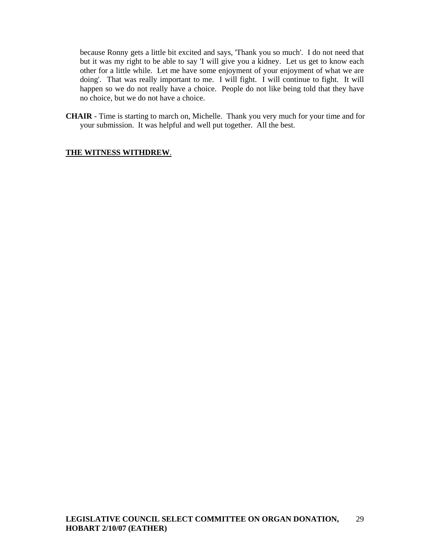because Ronny gets a little bit excited and says, 'Thank you so much'. I do not need that but it was my right to be able to say 'I will give you a kidney. Let us get to know each other for a little while. Let me have some enjoyment of your enjoyment of what we are doing'. That was really important to me. I will fight. I will continue to fight. It will happen so we do not really have a choice. People do not like being told that they have no choice, but we do not have a choice.

**CHAIR** - Time is starting to march on, Michelle. Thank you very much for your time and for your submission. It was helpful and well put together. All the best.

## **THE WITNESS WITHDREW**.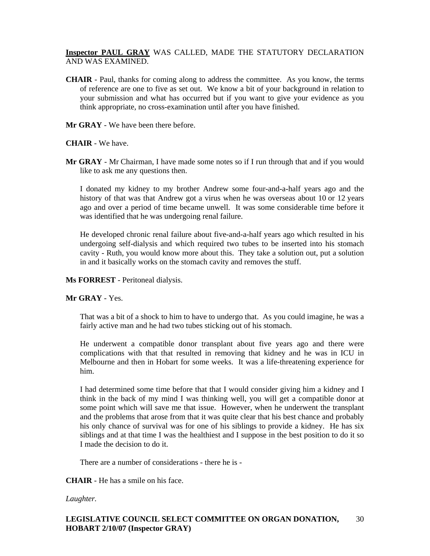# **Inspector PAUL GRAY** WAS CALLED, MADE THE STATUTORY DECLARATION AND WAS EXAMINED.

- **CHAIR**  Paul, thanks for coming along to address the committee. As you know, the terms of reference are one to five as set out. We know a bit of your background in relation to your submission and what has occurred but if you want to give your evidence as you think appropriate, no cross-examination until after you have finished.
- **Mr GRAY** We have been there before.

## **CHAIR** - We have.

**Mr GRAY** - Mr Chairman, I have made some notes so if I run through that and if you would like to ask me any questions then.

 I donated my kidney to my brother Andrew some four-and-a-half years ago and the history of that was that Andrew got a virus when he was overseas about 10 or 12 years ago and over a period of time became unwell. It was some considerable time before it was identified that he was undergoing renal failure.

 He developed chronic renal failure about five-and-a-half years ago which resulted in his undergoing self-dialysis and which required two tubes to be inserted into his stomach cavity - Ruth, you would know more about this. They take a solution out, put a solution in and it basically works on the stomach cavity and removes the stuff.

## **Ms FORREST** - Peritoneal dialysis.

# **Mr GRAY** - Yes.

 That was a bit of a shock to him to have to undergo that. As you could imagine, he was a fairly active man and he had two tubes sticking out of his stomach.

 He underwent a compatible donor transplant about five years ago and there were complications with that that resulted in removing that kidney and he was in ICU in Melbourne and then in Hobart for some weeks. It was a life-threatening experience for him.

 I had determined some time before that that I would consider giving him a kidney and I think in the back of my mind I was thinking well, you will get a compatible donor at some point which will save me that issue. However, when he underwent the transplant and the problems that arose from that it was quite clear that his best chance and probably his only chance of survival was for one of his siblings to provide a kidney. He has six siblings and at that time I was the healthiest and I suppose in the best position to do it so I made the decision to do it.

There are a number of considerations - there he is -

**CHAIR** - He has a smile on his face.

# *Laughter.*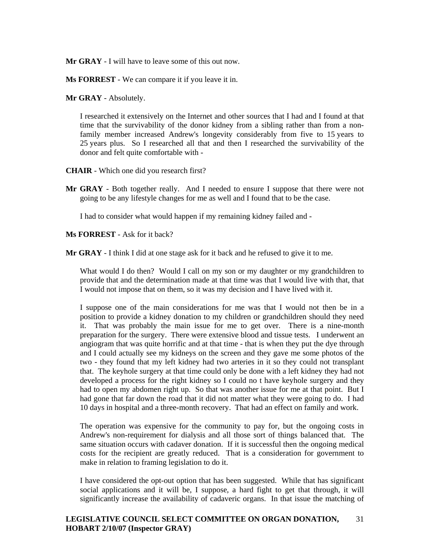**Mr GRAY** - I will have to leave some of this out now.

**Ms FORREST** - We can compare it if you leave it in.

**Mr GRAY** - Absolutely.

 I researched it extensively on the Internet and other sources that I had and I found at that time that the survivability of the donor kidney from a sibling rather than from a nonfamily member increased Andrew's longevity considerably from five to 15 years to 25 years plus. So I researched all that and then I researched the survivability of the donor and felt quite comfortable with -

**CHAIR** - Which one did you research first?

**Mr GRAY** - Both together really. And I needed to ensure I suppose that there were not going to be any lifestyle changes for me as well and I found that to be the case.

I had to consider what would happen if my remaining kidney failed and -

**Ms FORREST** - Ask for it back?

**Mr GRAY** - I think I did at one stage ask for it back and he refused to give it to me.

What would I do then? Would I call on my son or my daughter or my grandchildren to provide that and the determination made at that time was that I would live with that, that I would not impose that on them, so it was my decision and I have lived with it.

 I suppose one of the main considerations for me was that I would not then be in a position to provide a kidney donation to my children or grandchildren should they need it. That was probably the main issue for me to get over. There is a nine-month preparation for the surgery. There were extensive blood and tissue tests. I underwent an angiogram that was quite horrific and at that time - that is when they put the dye through and I could actually see my kidneys on the screen and they gave me some photos of the two - they found that my left kidney had two arteries in it so they could not transplant that. The keyhole surgery at that time could only be done with a left kidney they had not developed a process for the right kidney so I could no t have keyhole surgery and they had to open my abdomen right up. So that was another issue for me at that point. But I had gone that far down the road that it did not matter what they were going to do. I had 10 days in hospital and a three-month recovery. That had an effect on family and work.

 The operation was expensive for the community to pay for, but the ongoing costs in Andrew's non-requirement for dialysis and all those sort of things balanced that. The same situation occurs with cadaver donation. If it is successful then the ongoing medical costs for the recipient are greatly reduced. That is a consideration for government to make in relation to framing legislation to do it.

 I have considered the opt-out option that has been suggested. While that has significant social applications and it will be, I suppose, a hard fight to get that through, it will significantly increase the availability of cadaveric organs. In that issue the matching of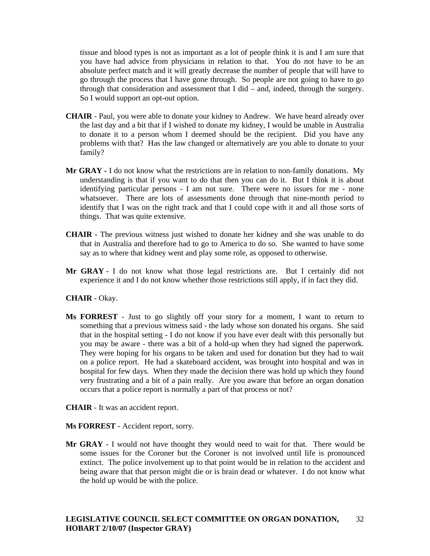tissue and blood types is not as important as a lot of people think it is and I am sure that you have had advice from physicians in relation to that. You do not have to be an absolute perfect match and it will greatly decrease the number of people that will have to go through the process that I have gone through. So people are not going to have to go through that consideration and assessment that I did – and, indeed, through the surgery. So I would support an opt-out option.

- **CHAIR**  Paul, you were able to donate your kidney to Andrew. We have heard already over the last day and a bit that if I wished to donate my kidney, I would be unable in Australia to donate it to a person whom I deemed should be the recipient. Did you have any problems with that? Has the law changed or alternatively are you able to donate to your family?
- **Mr GRAY -** I do not know what the restrictions are in relation to non-family donations. My understanding is that if you want to do that then you can do it. But I think it is about identifying particular persons - I am not sure. There were no issues for me - none whatsoever. There are lots of assessments done through that nine-month period to identify that I was on the right track and that I could cope with it and all those sorts of things. That was quite extensive.
- **CHAIR**  The previous witness just wished to donate her kidney and she was unable to do that in Australia and therefore had to go to America to do so. She wanted to have some say as to where that kidney went and play some role, as opposed to otherwise.
- **Mr GRAY**  I do not know what those legal restrictions are. But I certainly did not experience it and I do not know whether those restrictions still apply, if in fact they did.

#### **CHAIR** - Okay.

- **Ms FORREST** Just to go slightly off your story for a moment, I want to return to something that a previous witness said - the lady whose son donated his organs. She said that in the hospital setting - I do not know if you have ever dealt with this personally but you may be aware - there was a bit of a hold-up when they had signed the paperwork. They were hoping for his organs to be taken and used for donation but they had to wait on a police report. He had a skateboard accident, was brought into hospital and was in hospital for few days. When they made the decision there was hold up which they found very frustrating and a bit of a pain really. Are you aware that before an organ donation occurs that a police report is normally a part of that process or not?
- **CHAIR** It was an accident report.
- **Ms FORREST** Accident report, sorry.
- **Mr GRAY** I would not have thought they would need to wait for that. There would be some issues for the Coroner but the Coroner is not involved until life is pronounced extinct. The police involvement up to that point would be in relation to the accident and being aware that that person might die or is brain dead or whatever. I do not know what the hold up would be with the police.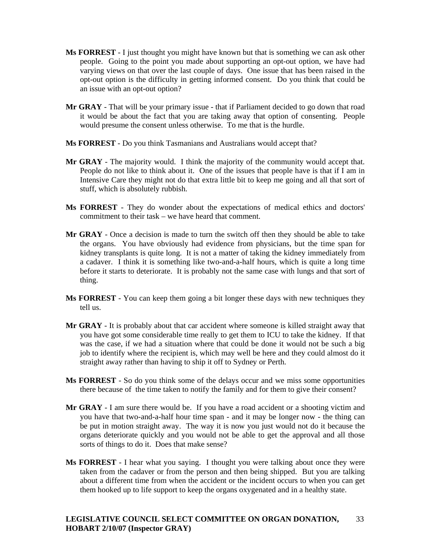- **Ms FORREST** I just thought you might have known but that is something we can ask other people. Going to the point you made about supporting an opt-out option, we have had varying views on that over the last couple of days. One issue that has been raised in the opt-out option is the difficulty in getting informed consent. Do you think that could be an issue with an opt-out option?
- Mr GRAY That will be your primary issue that if Parliament decided to go down that road it would be about the fact that you are taking away that option of consenting. People would presume the consent unless otherwise. To me that is the hurdle.
- **Ms FORREST** Do you think Tasmanians and Australians would accept that?
- **Mr GRAY** The majority would. I think the majority of the community would accept that. People do not like to think about it. One of the issues that people have is that if  $\overline{I}$  am in Intensive Care they might not do that extra little bit to keep me going and all that sort of stuff, which is absolutely rubbish.
- **Ms FORREST** They do wonder about the expectations of medical ethics and doctors' commitment to their task – we have heard that comment.
- **Mr GRAY** Once a decision is made to turn the switch off then they should be able to take the organs. You have obviously had evidence from physicians, but the time span for kidney transplants is quite long. It is not a matter of taking the kidney immediately from a cadaver. I think it is something like two-and-a-half hours, which is quite a long time before it starts to deteriorate. It is probably not the same case with lungs and that sort of thing.
- **Ms FORREST** You can keep them going a bit longer these days with new techniques they tell us.
- **Mr GRAY** It is probably about that car accident where someone is killed straight away that you have got some considerable time really to get them to ICU to take the kidney. If that was the case, if we had a situation where that could be done it would not be such a big job to identify where the recipient is, which may well be here and they could almost do it straight away rather than having to ship it off to Sydney or Perth.
- **Ms FORREST** So do you think some of the delays occur and we miss some opportunities there because of the time taken to notify the family and for them to give their consent?
- Mr GRAY I am sure there would be. If you have a road accident or a shooting victim and you have that two-and-a-half hour time span - and it may be longer now - the thing can be put in motion straight away. The way it is now you just would not do it because the organs deteriorate quickly and you would not be able to get the approval and all those sorts of things to do it. Does that make sense?
- **Ms FORREST** I hear what you saying. I thought you were talking about once they were taken from the cadaver or from the person and then being shipped. But you are talking about a different time from when the accident or the incident occurs to when you can get them hooked up to life support to keep the organs oxygenated and in a healthy state.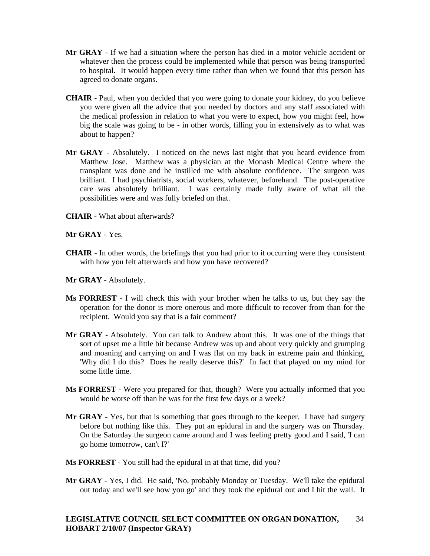- **Mr GRAY** If we had a situation where the person has died in a motor vehicle accident or whatever then the process could be implemented while that person was being transported to hospital. It would happen every time rather than when we found that this person has agreed to donate organs.
- **CHAIR** Paul, when you decided that you were going to donate your kidney, do you believe you were given all the advice that you needed by doctors and any staff associated with the medical profession in relation to what you were to expect, how you might feel, how big the scale was going to be - in other words, filling you in extensively as to what was about to happen?
- **Mr GRAY** Absolutely. I noticed on the news last night that you heard evidence from Matthew Jose. Matthew was a physician at the Monash Medical Centre where the transplant was done and he instilled me with absolute confidence. The surgeon was brilliant. I had psychiatrists, social workers, whatever, beforehand. The post-operative care was absolutely brilliant. I was certainly made fully aware of what all the possibilities were and was fully briefed on that.
- **CHAIR**  What about afterwards?
- **Mr GRAY** Yes.
- **CHAIR**  In other words, the briefings that you had prior to it occurring were they consistent with how you felt afterwards and how you have recovered?
- **Mr GRAY** Absolutely.
- **Ms FORREST** I will check this with your brother when he talks to us, but they say the operation for the donor is more onerous and more difficult to recover from than for the recipient. Would you say that is a fair comment?
- **Mr GRAY** Absolutely. You can talk to Andrew about this. It was one of the things that sort of upset me a little bit because Andrew was up and about very quickly and grumping and moaning and carrying on and I was flat on my back in extreme pain and thinking, 'Why did I do this? Does he really deserve this?' In fact that played on my mind for some little time.
- **Ms FORREST** Were you prepared for that, though? Were you actually informed that you would be worse off than he was for the first few days or a week?
- **Mr GRAY** Yes, but that is something that goes through to the keeper. I have had surgery before but nothing like this. They put an epidural in and the surgery was on Thursday. On the Saturday the surgeon came around and I was feeling pretty good and I said, 'I can go home tomorrow, can't I?'
- **Ms FORREST** You still had the epidural in at that time, did you?
- **Mr GRAY** Yes, I did. He said, 'No, probably Monday or Tuesday. We'll take the epidural out today and we'll see how you go' and they took the epidural out and I hit the wall. It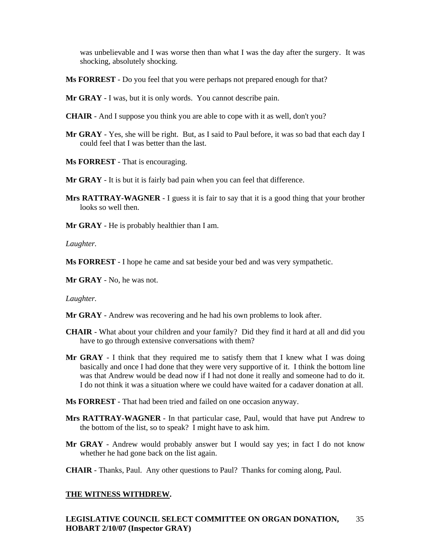was unbelievable and I was worse then than what I was the day after the surgery. It was shocking, absolutely shocking.

- **Ms FORREST** Do you feel that you were perhaps not prepared enough for that?
- **Mr GRAY** I was, but it is only words. You cannot describe pain.
- **CHAIR**  And I suppose you think you are able to cope with it as well, don't you?
- **Mr GRAY** Yes, she will be right. But, as I said to Paul before, it was so bad that each day I could feel that I was better than the last.
- **Ms FORREST** That is encouraging.
- **Mr GRAY** It is but it is fairly bad pain when you can feel that difference.
- **Mrs RATTRAY-WAGNER** I guess it is fair to say that it is a good thing that your brother looks so well then.
- **Mr GRAY** He is probably healthier than I am.

*Laughter.* 

**Ms FORREST** - I hope he came and sat beside your bed and was very sympathetic.

**Mr GRAY** - No, he was not.

*Laughter.*

- **Mr GRAY** Andrew was recovering and he had his own problems to look after.
- **CHAIR**  What about your children and your family? Did they find it hard at all and did you have to go through extensive conversations with them?
- **Mr GRAY** I think that they required me to satisfy them that I knew what I was doing basically and once I had done that they were very supportive of it. I think the bottom line was that Andrew would be dead now if I had not done it really and someone had to do it. I do not think it was a situation where we could have waited for a cadaver donation at all.
- **Ms FORREST** That had been tried and failed on one occasion anyway.
- **Mrs RATTRAY-WAGNER** In that particular case, Paul, would that have put Andrew to the bottom of the list, so to speak? I might have to ask him.
- **Mr GRAY** Andrew would probably answer but I would say yes; in fact I do not know whether he had gone back on the list again.
- **CHAIR**  Thanks, Paul. Any other questions to Paul? Thanks for coming along, Paul.

#### **THE WITNESS WITHDREW.**

**LEGISLATIVE COUNCIL SELECT COMMITTEE ON ORGAN DONATION, HOBART 2/10/07 (Inspector GRAY)**  35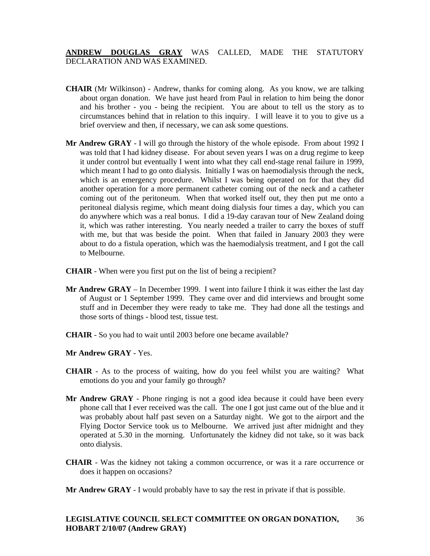**ANDREW DOUGLAS GRAY** WAS CALLED, MADE THE STATUTORY DECLARATION AND WAS EXAMINED.

- **CHAIR** (Mr Wilkinson) Andrew, thanks for coming along. As you know, we are talking about organ donation. We have just heard from Paul in relation to him being the donor and his brother - you - being the recipient. You are about to tell us the story as to circumstances behind that in relation to this inquiry. I will leave it to you to give us a brief overview and then, if necessary, we can ask some questions.
- **Mr Andrew GRAY**  I will go through the history of the whole episode. From about 1992 I was told that I had kidney disease. For about seven years I was on a drug regime to keep it under control but eventually I went into what they call end-stage renal failure in 1999, which meant I had to go onto dialysis. Initially I was on haemodialysis through the neck, which is an emergency procedure. Whilst I was being operated on for that they did another operation for a more permanent catheter coming out of the neck and a catheter coming out of the peritoneum. When that worked itself out, they then put me onto a peritoneal dialysis regime, which meant doing dialysis four times a day, which you can do anywhere which was a real bonus. I did a 19-day caravan tour of New Zealand doing it, which was rather interesting. You nearly needed a trailer to carry the boxes of stuff with me, but that was beside the point. When that failed in January 2003 they were about to do a fistula operation, which was the haemodialysis treatment, and I got the call to Melbourne.
- **CHAIR** When were you first put on the list of being a recipient?
- **Mr Andrew GRAY**  In December 1999. I went into failure I think it was either the last day of August or 1 September 1999. They came over and did interviews and brought some stuff and in December they were ready to take me. They had done all the testings and those sorts of things - blood test, tissue test.
- **CHAIR** So you had to wait until 2003 before one became available?

**Mr Andrew GRAY** - Yes.

- **CHAIR** As to the process of waiting, how do you feel whilst you are waiting? What emotions do you and your family go through?
- **Mr Andrew GRAY** Phone ringing is not a good idea because it could have been every phone call that I ever received was the call. The one I got just came out of the blue and it was probably about half past seven on a Saturday night. We got to the airport and the Flying Doctor Service took us to Melbourne. We arrived just after midnight and they operated at 5.30 in the morning. Unfortunately the kidney did not take, so it was back onto dialysis.
- **CHAIR**  Was the kidney not taking a common occurrence, or was it a rare occurrence or does it happen on occasions?
- **Mr Andrew GRAY** I would probably have to say the rest in private if that is possible.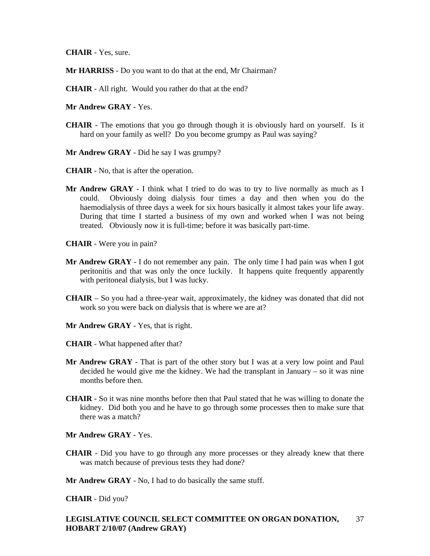**CHAIR** - Yes, sure.

- **Mr HARRISS** Do you want to do that at the end, Mr Chairman?
- **CHAIR**  All right. Would you rather do that at the end?
- **Mr Andrew GRAY** Yes.
- **CHAIR**  The emotions that you go through though it is obviously hard on yourself. Is it hard on your family as well? Do you become grumpy as Paul was saying?
- **Mr Andrew GRAY** Did he say I was grumpy?
- **CHAIR**  No, that is after the operation.
- Mr Andrew GRAY I think what I tried to do was to try to live normally as much as I could. Obviously doing dialysis four times a day and then when you do the haemodialysis of three days a week for six hours basically it almost takes your life away. During that time I started a business of my own and worked when I was not being treated. Obviously now it is full-time; before it was basically part-time.
- **CHAIR**  Were you in pain?
- **Mr Andrew GRAY** I do not remember any pain. The only time I had pain was when I got peritonitis and that was only the once luckily. It happens quite frequently apparently with peritoneal dialysis, but I was lucky.
- **CHAIR**  So you had a three-year wait, approximately, the kidney was donated that did not work so you were back on dialysis that is where we are at?
- **Mr Andrew GRAY** Yes, that is right.
- **CHAIR**  What happened after that?
- **Mr Andrew GRAY** That is part of the other story but I was at a very low point and Paul decided he would give me the kidney. We had the transplant in January – so it was nine months before then.
- **CHAIR**  So it was nine months before then that Paul stated that he was willing to donate the kidney. Did both you and he have to go through some processes then to make sure that there was a match?

### **Mr Andrew GRAY** - Yes.

- **CHAIR**  Did you have to go through any more processes or they already knew that there was match because of previous tests they had done?
- **Mr Andrew GRAY** No, I had to do basically the same stuff.

**CHAIR** - Did you?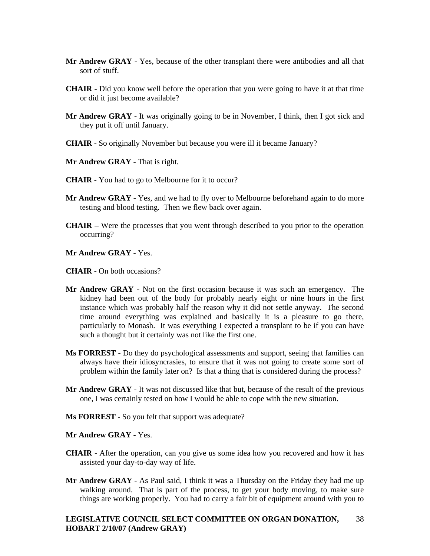- **Mr Andrew GRAY** Yes, because of the other transplant there were antibodies and all that sort of stuff.
- **CHAIR**  Did you know well before the operation that you were going to have it at that time or did it just become available?
- **Mr Andrew GRAY** It was originally going to be in November, I think, then I got sick and they put it off until January.
- **CHAIR**  So originally November but because you were ill it became January?
- **Mr Andrew GRAY** That is right.
- **CHAIR**  You had to go to Melbourne for it to occur?
- **Mr Andrew GRAY** Yes, and we had to fly over to Melbourne beforehand again to do more testing and blood testing. Then we flew back over again.
- **CHAIR**  Were the processes that you went through described to you prior to the operation occurring?
- **Mr Andrew GRAY** Yes.
- **CHAIR**  On both occasions?
- **Mr Andrew GRAY** Not on the first occasion because it was such an emergency. The kidney had been out of the body for probably nearly eight or nine hours in the first instance which was probably half the reason why it did not settle anyway. The second time around everything was explained and basically it is a pleasure to go there, particularly to Monash. It was everything I expected a transplant to be if you can have such a thought but it certainly was not like the first one.
- **Ms FORREST** Do they do psychological assessments and support, seeing that families can always have their idiosyncrasies, to ensure that it was not going to create some sort of problem within the family later on? Is that a thing that is considered during the process?
- **Mr Andrew GRAY** It was not discussed like that but, because of the result of the previous one, I was certainly tested on how I would be able to cope with the new situation.
- **Ms FORREST** So you felt that support was adequate?

### **Mr Andrew GRAY -** Yes.

- **CHAIR**  After the operation, can you give us some idea how you recovered and how it has assisted your day-to-day way of life.
- **Mr Andrew GRAY**  As Paul said, I think it was a Thursday on the Friday they had me up walking around. That is part of the process, to get your body moving, to make sure things are working properly. You had to carry a fair bit of equipment around with you to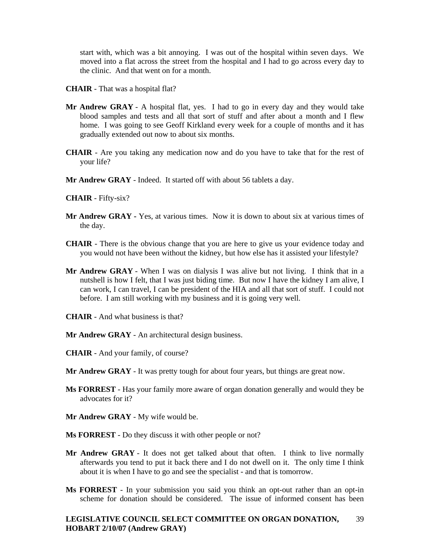start with, which was a bit annoying. I was out of the hospital within seven days. We moved into a flat across the street from the hospital and I had to go across every day to the clinic. And that went on for a month.

- **CHAIR**  That was a hospital flat?
- **Mr Andrew GRAY** A hospital flat, yes. I had to go in every day and they would take blood samples and tests and all that sort of stuff and after about a month and I flew home. I was going to see Geoff Kirkland every week for a couple of months and it has gradually extended out now to about six months.
- **CHAIR**  Are you taking any medication now and do you have to take that for the rest of your life?
- **Mr Andrew GRAY** Indeed. It started off with about 56 tablets a day.

#### **CHAIR** - Fifty-six?

- **Mr Andrew GRAY** Yes, at various times. Now it is down to about six at various times of the day.
- **CHAIR**  There is the obvious change that you are here to give us your evidence today and you would not have been without the kidney, but how else has it assisted your lifestyle?
- **Mr Andrew GRAY** When I was on dialysis I was alive but not living. I think that in a nutshell is how I felt, that I was just biding time. But now I have the kidney I am alive, I can work, I can travel, I can be president of the HIA and all that sort of stuff. I could not before. I am still working with my business and it is going very well.
- **CHAIR**  And what business is that?
- **Mr Andrew GRAY** An architectural design business.
- **CHAIR**  And your family, of course?
- **Mr Andrew GRAY** It was pretty tough for about four years, but things are great now.
- **Ms FORREST** Has your family more aware of organ donation generally and would they be advocates for it?
- **Mr Andrew GRAY** My wife would be.
- **Ms FORREST** Do they discuss it with other people or not?
- **Mr Andrew GRAY** It does not get talked about that often. I think to live normally afterwards you tend to put it back there and I do not dwell on it. The only time I think about it is when I have to go and see the specialist - and that is tomorrow.
- **Ms FORREST** In your submission you said you think an opt-out rather than an opt-in scheme for donation should be considered. The issue of informed consent has been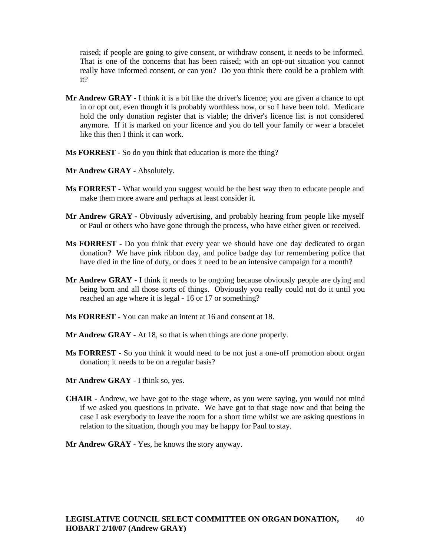raised; if people are going to give consent, or withdraw consent, it needs to be informed. That is one of the concerns that has been raised; with an opt-out situation you cannot really have informed consent, or can you? Do you think there could be a problem with it?

- **Mr Andrew GRAY**  I think it is a bit like the driver's licence; you are given a chance to opt in or opt out, even though it is probably worthless now, or so I have been told. Medicare hold the only donation register that is viable; the driver's licence list is not considered anymore. If it is marked on your licence and you do tell your family or wear a bracelet like this then I think it can work.
- **Ms FORREST** So do you think that education is more the thing?
- **Mr Andrew GRAY** Absolutely.
- **Ms FORREST** What would you suggest would be the best way then to educate people and make them more aware and perhaps at least consider it.
- Mr Andrew GRAY Obviously advertising, and probably hearing from people like myself or Paul or others who have gone through the process, who have either given or received.
- **Ms FORREST** Do you think that every year we should have one day dedicated to organ donation? We have pink ribbon day, and police badge day for remembering police that have died in the line of duty, or does it need to be an intensive campaign for a month?
- **Mr Andrew GRAY** I think it needs to be ongoing because obviously people are dying and being born and all those sorts of things. Obviously you really could not do it until you reached an age where it is legal - 16 or 17 or something?
- **Ms FORREST** You can make an intent at 16 and consent at 18.
- **Mr Andrew GRAY** At 18, so that is when things are done properly.
- **Ms FORREST** So you think it would need to be not just a one-off promotion about organ donation; it needs to be on a regular basis?
- **Mr Andrew GRAY** I think so, yes.
- **CHAIR**  Andrew, we have got to the stage where, as you were saying, you would not mind if we asked you questions in private. We have got to that stage now and that being the case I ask everybody to leave the room for a short time whilst we are asking questions in relation to the situation, though you may be happy for Paul to stay.
- **Mr Andrew GRAY** Yes, he knows the story anyway.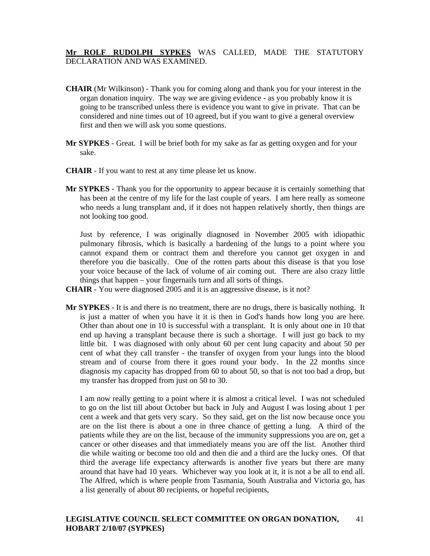# **Mr ROLF RUDOLPH SYPKES** WAS CALLED, MADE THE STATUTORY DECLARATION AND WAS EXAMINED.

- **CHAIR** (Mr Wilkinson) Thank you for coming along and thank you for your interest in the organ donation inquiry. The way we are giving evidence - as you probably know it is going to be transcribed unless there is evidence you want to give in private. That can be considered and nine times out of 10 agreed, but if you want to give a general overview first and then we will ask you some questions.
- **Mr SYPKES** Great. I will be brief both for my sake as far as getting oxygen and for your sake.
- **CHAIR** If you want to rest at any time please let us know.
- **Mr SYPKES** Thank you for the opportunity to appear because it is certainly something that has been at the centre of my life for the last couple of years. I am here really as someone who needs a lung transplant and, if it does not happen relatively shortly, then things are not looking too good.

 Just by reference, I was originally diagnosed in November 2005 with idiopathic pulmonary fibrosis, which is basically a hardening of the lungs to a point where you cannot expand them or contract them and therefore you cannot get oxygen in and therefore you die basically. One of the rotten parts about this disease is that you lose your voice because of the lack of volume of air coming out. There are also crazy little things that happen – your fingernails turn and all sorts of things.

- **CHAIR** You were diagnosed 2005 and it is an aggressive disease, is it not?
- **Mr SYPKES** It is and there is no treatment, there are no drugs, there is basically nothing. It is just a matter of when you have it it is then in God's hands how long you are here. Other than about one in 10 is successful with a transplant. It is only about one in 10 that end up having a transplant because there is such a shortage. I will just go back to my little bit. I was diagnosed with only about 60 per cent lung capacity and about 50 per cent of what they call transfer - the transfer of oxygen from your lungs into the blood stream and of course from there it goes round your body. In the 22 months since diagnosis my capacity has dropped from 60 to about 50, so that is not too bad a drop, but my transfer has dropped from just on 50 to 30.

 I am now really getting to a point where it is almost a critical level. I was not scheduled to go on the list till about October but back in July and August I was losing about 1 per cent a week and that gets very scary. So they said, get on the list now because once you are on the list there is about a one in three chance of getting a lung. A third of the patients while they are on the list, because of the immunity suppressions you are on, get a cancer or other diseases and that immediately means you are off the list. Another third die while waiting or become too old and then die and a third are the lucky ones. Of that third the average life expectancy afterwards is another five years but there are many around that have had 10 years. Whichever way you look at it, it is not a be all to end all. The Alfred, which is where people from Tasmania, South Australia and Victoria go, has a list generally of about 80 recipients, or hopeful recipients,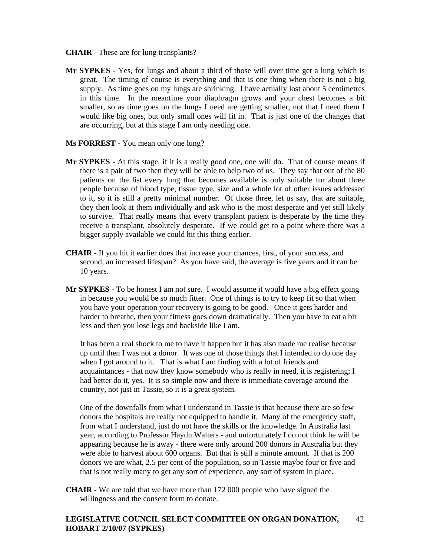- **CHAIR** These are for lung transplants?
- **Mr SYPKES** Yes, for lungs and about a third of those will over time get a lung which is great. The timing of course is everything and that is one thing when there is not a big supply. As time goes on my lungs are shrinking. I have actually lost about 5 centimetres in this time. In the meantime your diaphragm grows and your chest becomes a bit smaller, so as time goes on the lungs I need are getting smaller, not that I need them I would like big ones, but only small ones will fit in. That is just one of the changes that are occurring, but at this stage I am only needing one.
- **Ms FORREST** You mean only one lung?
- **Mr SYPKES** At this stage, if it is a really good one, one will do. That of course means if there is a pair of two then they will be able to help two of us. They say that out of the 80 patients on the list every lung that becomes available is only suitable for about three people because of blood type, tissue type, size and a whole lot of other issues addressed to it, so it is still a pretty minimal number. Of those three, let us say, that are suitable, they then look at them individually and ask who is the most desperate and yet still likely to survive. That really means that every transplant patient is desperate by the time they receive a transplant, absolutely desperate. If we could get to a point where there was a bigger supply available we could hit this thing earlier.
- **CHAIR** If you hit it earlier does that increase your chances, first, of your success, and second, an increased lifespan? As you have said, the average is five years and it can be 10 years.
- **Mr SYPKES** To be honest I am not sure. I would assume it would have a big effect going in because you would be so much fitter. One of things is to try to keep fit so that when you have your operation your recovery is going to be good. Once it gets harder and harder to breathe, then your fitness goes down dramatically. Then you have to eat a bit less and then you lose legs and backside like I am.

 It has been a real shock to me to have it happen but it has also made me realise because up until then I was not a donor. It was one of those things that I intended to do one day when I got around to it. That is what I am finding with a lot of friends and acquaintances - that now they know somebody who is really in need, it is registering; I had better do it, yes. It is so simple now and there is immediate coverage around the country, not just in Tassie, so it is a great system.

 One of the downfalls from what I understand in Tassie is that because there are so few donors the hospitals are really not equipped to handle it. Many of the emergency staff, from what I understand, just do not have the skills or the knowledge. In Australia last year, according to Professor Haydn Walters - and unfortunately I do not think he will be appearing because he is away - there were only around 200 donors in Australia but they were able to harvest about 600 organs. But that is still a minute amount. If that is 200 donors we are what, 2.5 per cent of the population, so in Tassie maybe four or five and that is not really many to get any sort of experience, any sort of system in place.

**CHAIR** - We are told that we have more than 172 000 people who have signed the willingness and the consent form to donate.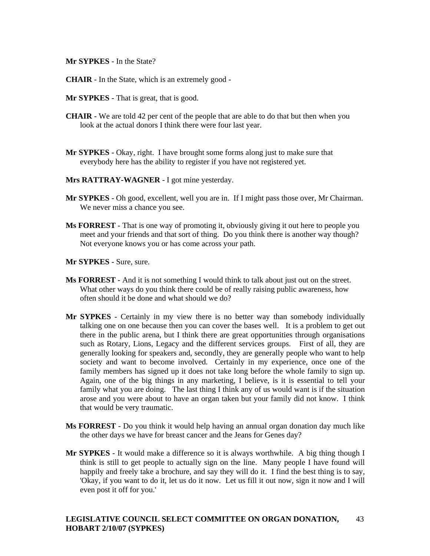**Mr SYPKES** - In the State?

- **CHAIR** In the State, which is an extremely good -
- **Mr SYPKES** That is great, that is good.
- **CHAIR** We are told 42 per cent of the people that are able to do that but then when you look at the actual donors I think there were four last year.
- **Mr SYPKES** Okay, right. I have brought some forms along just to make sure that everybody here has the ability to register if you have not registered yet.
- **Mrs RATTRAY-WAGNER** I got mine yesterday.
- **Mr SYPKES** Oh good, excellent, well you are in. If I might pass those over, Mr Chairman. We never miss a chance you see.
- **Ms FORREST** That is one way of promoting it, obviously giving it out here to people you meet and your friends and that sort of thing. Do you think there is another way though? Not everyone knows you or has come across your path.
- **Mr SYPKES** Sure, sure.
- **Ms FORREST** And it is not something I would think to talk about just out on the street. What other ways do you think there could be of really raising public awareness, how often should it be done and what should we do?
- **Mr SYPKES** Certainly in my view there is no better way than somebody individually talking one on one because then you can cover the bases well. It is a problem to get out there in the public arena, but I think there are great opportunities through organisations such as Rotary, Lions, Legacy and the different services groups. First of all, they are generally looking for speakers and, secondly, they are generally people who want to help society and want to become involved. Certainly in my experience, once one of the family members has signed up it does not take long before the whole family to sign up. Again, one of the big things in any marketing, I believe, is it is essential to tell your family what you are doing. The last thing I think any of us would want is if the situation arose and you were about to have an organ taken but your family did not know. I think that would be very traumatic.
- **Ms FORREST** Do you think it would help having an annual organ donation day much like the other days we have for breast cancer and the Jeans for Genes day?
- **Mr SYPKES** It would make a difference so it is always worthwhile. A big thing though I think is still to get people to actually sign on the line. Many people I have found will happily and freely take a brochure, and say they will do it. I find the best thing is to say, 'Okay, if you want to do it, let us do it now. Let us fill it out now, sign it now and I will even post it off for you.'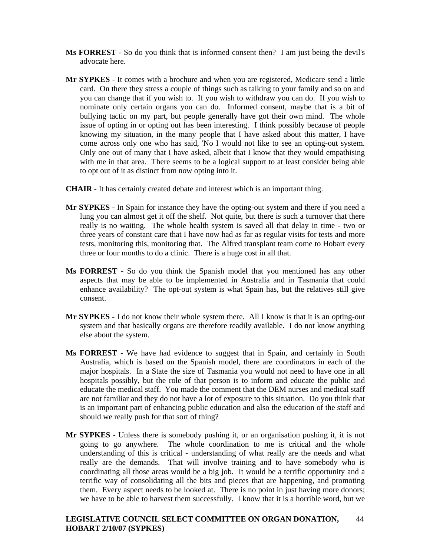- **Ms FORREST** So do you think that is informed consent then? I am just being the devil's advocate here.
- **Mr SYPKES** It comes with a brochure and when you are registered, Medicare send a little card. On there they stress a couple of things such as talking to your family and so on and you can change that if you wish to. If you wish to withdraw you can do. If you wish to nominate only certain organs you can do. Informed consent, maybe that is a bit of bullying tactic on my part, but people generally have got their own mind. The whole issue of opting in or opting out has been interesting. I think possibly because of people knowing my situation, in the many people that I have asked about this matter, I have come across only one who has said, 'No I would not like to see an opting-out system. Only one out of many that I have asked, albeit that I know that they would empathising with me in that area. There seems to be a logical support to at least consider being able to opt out of it as distinct from now opting into it.
- **CHAIR** It has certainly created debate and interest which is an important thing.
- **Mr SYPKES** In Spain for instance they have the opting-out system and there if you need a lung you can almost get it off the shelf. Not quite, but there is such a turnover that there really is no waiting. The whole health system is saved all that delay in time - two or three years of constant care that I have now had as far as regular visits for tests and more tests, monitoring this, monitoring that. The Alfred transplant team come to Hobart every three or four months to do a clinic. There is a huge cost in all that.
- **Ms FORREST** So do you think the Spanish model that you mentioned has any other aspects that may be able to be implemented in Australia and in Tasmania that could enhance availability? The opt-out system is what Spain has, but the relatives still give consent.
- **Mr SYPKES** I do not know their whole system there. All I know is that it is an opting-out system and that basically organs are therefore readily available. I do not know anything else about the system.
- **Ms FORREST** We have had evidence to suggest that in Spain, and certainly in South Australia, which is based on the Spanish model, there are coordinators in each of the major hospitals. In a State the size of Tasmania you would not need to have one in all hospitals possibly, but the role of that person is to inform and educate the public and educate the medical staff. You made the comment that the DEM nurses and medical staff are not familiar and they do not have a lot of exposure to this situation. Do you think that is an important part of enhancing public education and also the education of the staff and should we really push for that sort of thing?
- **Mr SYPKES** Unless there is somebody pushing it, or an organisation pushing it, it is not going to go anywhere. The whole coordination to me is critical and the whole understanding of this is critical - understanding of what really are the needs and what really are the demands. That will involve training and to have somebody who is coordinating all those areas would be a big job. It would be a terrific opportunity and a terrific way of consolidating all the bits and pieces that are happening, and promoting them. Every aspect needs to be looked at. There is no point in just having more donors; we have to be able to harvest them successfully. I know that it is a horrible word, but we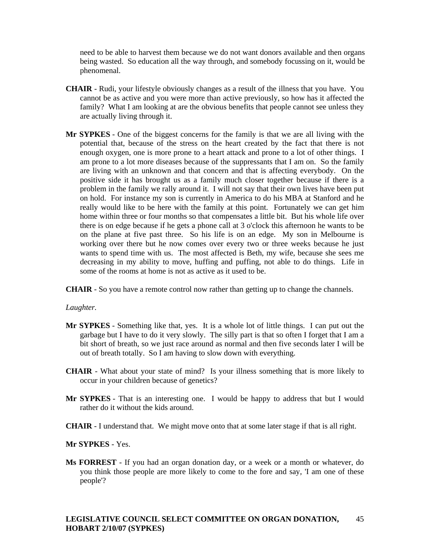need to be able to harvest them because we do not want donors available and then organs being wasted. So education all the way through, and somebody focussing on it, would be phenomenal.

- **CHAIR**  Rudi, your lifestyle obviously changes as a result of the illness that you have. You cannot be as active and you were more than active previously, so how has it affected the family? What I am looking at are the obvious benefits that people cannot see unless they are actually living through it.
- **Mr SYPKES** One of the biggest concerns for the family is that we are all living with the potential that, because of the stress on the heart created by the fact that there is not enough oxygen, one is more prone to a heart attack and prone to a lot of other things. I am prone to a lot more diseases because of the suppressants that I am on. So the family are living with an unknown and that concern and that is affecting everybody. On the positive side it has brought us as a family much closer together because if there is a problem in the family we rally around it. I will not say that their own lives have been put on hold. For instance my son is currently in America to do his MBA at Stanford and he really would like to be here with the family at this point. Fortunately we can get him home within three or four months so that compensates a little bit. But his whole life over there is on edge because if he gets a phone call at 3 o'clock this afternoon he wants to be on the plane at five past three. So his life is on an edge. My son in Melbourne is working over there but he now comes over every two or three weeks because he just wants to spend time with us. The most affected is Beth, my wife, because she sees me decreasing in my ability to move, huffing and puffing, not able to do things. Life in some of the rooms at home is not as active as it used to be.

**CHAIR** - So you have a remote control now rather than getting up to change the channels.

#### *Laughter.*

- **Mr SYPKES** Something like that, yes. It is a whole lot of little things. I can put out the garbage but I have to do it very slowly. The silly part is that so often I forget that I am a bit short of breath, so we just race around as normal and then five seconds later I will be out of breath totally. So I am having to slow down with everything.
- **CHAIR**  What about your state of mind? Is your illness something that is more likely to occur in your children because of genetics?
- **Mr SYPKES** That is an interesting one. I would be happy to address that but I would rather do it without the kids around.
- **CHAIR**  I understand that. We might move onto that at some later stage if that is all right.

### **Mr SYPKES** - Yes.

**Ms FORREST** - If you had an organ donation day, or a week or a month or whatever, do you think those people are more likely to come to the fore and say, 'I am one of these people'?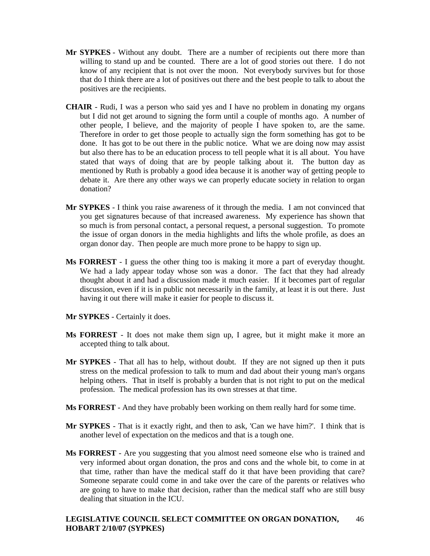- **Mr SYPKES** Without any doubt. There are a number of recipients out there more than willing to stand up and be counted. There are a lot of good stories out there. I do not know of any recipient that is not over the moon. Not everybody survives but for those that do I think there are a lot of positives out there and the best people to talk to about the positives are the recipients.
- **CHAIR** Rudi, I was a person who said yes and I have no problem in donating my organs but I did not get around to signing the form until a couple of months ago. A number of other people, I believe, and the majority of people I have spoken to, are the same. Therefore in order to get those people to actually sign the form something has got to be done. It has got to be out there in the public notice. What we are doing now may assist but also there has to be an education process to tell people what it is all about. You have stated that ways of doing that are by people talking about it. The button day as mentioned by Ruth is probably a good idea because it is another way of getting people to debate it. Are there any other ways we can properly educate society in relation to organ donation?
- **Mr SYPKES** I think you raise awareness of it through the media. I am not convinced that you get signatures because of that increased awareness. My experience has shown that so much is from personal contact, a personal request, a personal suggestion. To promote the issue of organ donors in the media highlights and lifts the whole profile, as does an organ donor day. Then people are much more prone to be happy to sign up.
- **Ms FORREST** I guess the other thing too is making it more a part of everyday thought. We had a lady appear today whose son was a donor. The fact that they had already thought about it and had a discussion made it much easier. If it becomes part of regular discussion, even if it is in public not necessarily in the family, at least it is out there. Just having it out there will make it easier for people to discuss it.
- **Mr SYPKES** Certainly it does.
- **Ms FORREST** It does not make them sign up, I agree, but it might make it more an accepted thing to talk about.
- **Mr SYPKES** That all has to help, without doubt. If they are not signed up then it puts stress on the medical profession to talk to mum and dad about their young man's organs helping others. That in itself is probably a burden that is not right to put on the medical profession. The medical profession has its own stresses at that time.
- **Ms FORREST** And they have probably been working on them really hard for some time.
- **Mr SYPKES** That is it exactly right, and then to ask, 'Can we have him?'. I think that is another level of expectation on the medicos and that is a tough one.
- **Ms FORREST** Are you suggesting that you almost need someone else who is trained and very informed about organ donation, the pros and cons and the whole bit, to come in at that time, rather than have the medical staff do it that have been providing that care? Someone separate could come in and take over the care of the parents or relatives who are going to have to make that decision, rather than the medical staff who are still busy dealing that situation in the ICU.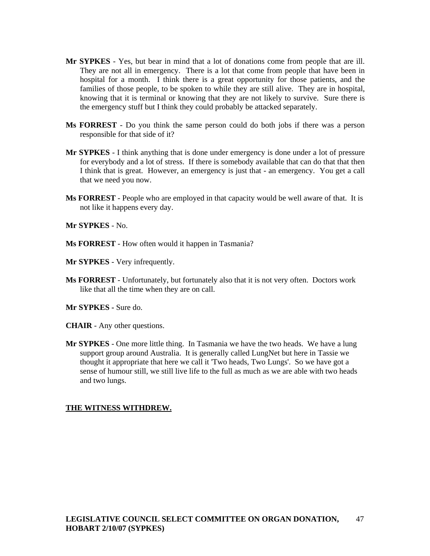- **Mr SYPKES** Yes, but bear in mind that a lot of donations come from people that are ill. They are not all in emergency. There is a lot that come from people that have been in hospital for a month. I think there is a great opportunity for those patients, and the families of those people, to be spoken to while they are still alive. They are in hospital, knowing that it is terminal or knowing that they are not likely to survive. Sure there is the emergency stuff but I think they could probably be attacked separately.
- **Ms FORREST** Do you think the same person could do both jobs if there was a person responsible for that side of it?
- **Mr SYPKES** I think anything that is done under emergency is done under a lot of pressure for everybody and a lot of stress. If there is somebody available that can do that that then I think that is great. However, an emergency is just that - an emergency. You get a call that we need you now.
- **Ms FORREST** People who are employed in that capacity would be well aware of that. It is not like it happens every day.

**Mr SYPKES** - No.

**Ms FORREST** - How often would it happen in Tasmania?

**Mr SYPKES** - Very infrequently.

**Ms FORREST** - Unfortunately, but fortunately also that it is not very often. Doctors work like that all the time when they are on call.

**Mr SYPKES -** Sure do.

**CHAIR** - Any other questions.

**Mr SYPKES** - One more little thing. In Tasmania we have the two heads. We have a lung support group around Australia. It is generally called LungNet but here in Tassie we thought it appropriate that here we call it 'Two heads, Two Lungs'. So we have got a sense of humour still, we still live life to the full as much as we are able with two heads and two lungs.

## **THE WITNESS WITHDREW.**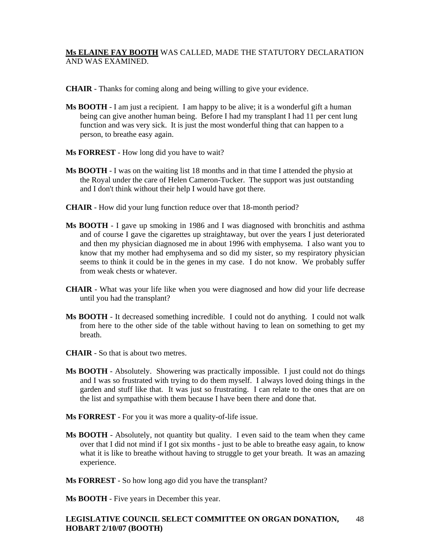# **Ms ELAINE FAY BOOTH** WAS CALLED, MADE THE STATUTORY DECLARATION AND WAS EXAMINED.

- **CHAIR** Thanks for coming along and being willing to give your evidence.
- **Ms BOOTH** I am just a recipient. I am happy to be alive; it is a wonderful gift a human being can give another human being. Before I had my transplant I had 11 per cent lung function and was very sick. It is just the most wonderful thing that can happen to a person, to breathe easy again.
- **Ms FORREST** How long did you have to wait?
- **Ms BOOTH** I was on the waiting list 18 months and in that time I attended the physio at the Royal under the care of Helen Cameron-Tucker. The support was just outstanding and I don't think without their help I would have got there.
- **CHAIR** How did your lung function reduce over that 18-month period?
- **Ms BOOTH** I gave up smoking in 1986 and I was diagnosed with bronchitis and asthma and of course I gave the cigarettes up straightaway, but over the years I just deteriorated and then my physician diagnosed me in about 1996 with emphysema. I also want you to know that my mother had emphysema and so did my sister, so my respiratory physician seems to think it could be in the genes in my case. I do not know. We probably suffer from weak chests or whatever.
- **CHAIR** What was your life like when you were diagnosed and how did your life decrease until you had the transplant?
- **Ms BOOTH** It decreased something incredible. I could not do anything. I could not walk from here to the other side of the table without having to lean on something to get my breath.
- **CHAIR** So that is about two metres.
- **Ms BOOTH** Absolutely. Showering was practically impossible. I just could not do things and I was so frustrated with trying to do them myself. I always loved doing things in the garden and stuff like that. It was just so frustrating. I can relate to the ones that are on the list and sympathise with them because I have been there and done that.
- **Ms FORREST** For you it was more a quality-of-life issue.
- **Ms BOOTH** Absolutely, not quantity but quality. I even said to the team when they came over that I did not mind if I got six months - just to be able to breathe easy again, to know what it is like to breathe without having to struggle to get your breath. It was an amazing experience.
- **Ms FORREST** So how long ago did you have the transplant?

**Ms BOOTH** - Five years in December this year.

#### **LEGISLATIVE COUNCIL SELECT COMMITTEE ON ORGAN DONATION, HOBART 2/10/07 (BOOTH)**  48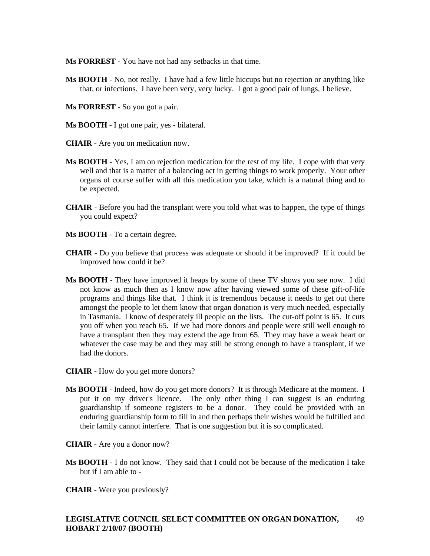**Ms FORREST** - You have not had any setbacks in that time.

- **Ms BOOTH** No, not really. I have had a few little hiccups but no rejection or anything like that, or infections. I have been very, very lucky. I got a good pair of lungs, I believe.
- **Ms FORREST** So you got a pair.
- **Ms BOOTH** I got one pair, yes bilateral.
- **CHAIR** Are you on medication now.
- **Ms BOOTH** Yes, I am on rejection medication for the rest of my life. I cope with that very well and that is a matter of a balancing act in getting things to work properly. Your other organs of course suffer with all this medication you take, which is a natural thing and to be expected.
- **CHAIR** Before you had the transplant were you told what was to happen, the type of things you could expect?
- **Ms BOOTH** To a certain degree.
- **CHAIR** Do you believe that process was adequate or should it be improved? If it could be improved how could it be?
- **Ms BOOTH** They have improved it heaps by some of these TV shows you see now. I did not know as much then as I know now after having viewed some of these gift-of-life programs and things like that. I think it is tremendous because it needs to get out there amongst the people to let them know that organ donation is very much needed, especially in Tasmania. I know of desperately ill people on the lists. The cut-off point is 65. It cuts you off when you reach 65. If we had more donors and people were still well enough to have a transplant then they may extend the age from 65. They may have a weak heart or whatever the case may be and they may still be strong enough to have a transplant, if we had the donors.
- **CHAIR** How do you get more donors?
- **Ms BOOTH** Indeed, how do you get more donors? It is through Medicare at the moment. I put it on my driver's licence. The only other thing I can suggest is an enduring guardianship if someone registers to be a donor. They could be provided with an enduring guardianship form to fill in and then perhaps their wishes would be fulfilled and their family cannot interfere. That is one suggestion but it is so complicated.
- **CHAIR** Are you a donor now?
- **Ms BOOTH** I do not know. They said that I could not be because of the medication I take but if I am able to -
- **CHAIR** Were you previously?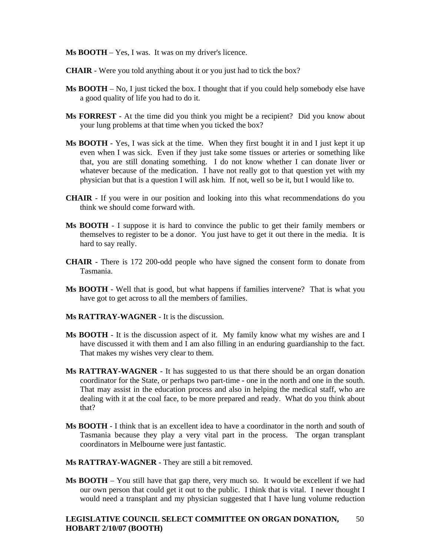**Ms BOOTH** – Yes, I was. It was on my driver's licence.

- **CHAIR** Were you told anything about it or you just had to tick the box?
- **Ms BOOTH** No, I just ticked the box. I thought that if you could help somebody else have a good quality of life you had to do it.
- **Ms FORREST** At the time did you think you might be a recipient? Did you know about your lung problems at that time when you ticked the box?
- **Ms BOOTH** Yes, I was sick at the time. When they first bought it in and I just kept it up even when I was sick. Even if they just take some tissues or arteries or something like that, you are still donating something. I do not know whether I can donate liver or whatever because of the medication. I have not really got to that question yet with my physician but that is a question I will ask him. If not, well so be it, but I would like to.
- **CHAIR** If you were in our position and looking into this what recommendations do you think we should come forward with.
- **Ms BOOTH** I suppose it is hard to convince the public to get their family members or themselves to register to be a donor. You just have to get it out there in the media. It is hard to say really.
- **CHAIR** There is 172 200-odd people who have signed the consent form to donate from Tasmania.
- **Ms BOOTH** Well that is good, but what happens if families intervene? That is what you have got to get across to all the members of families.
- **Ms RATTRAY-WAGNER** It is the discussion.
- **Ms BOOTH** It is the discussion aspect of it. My family know what my wishes are and I have discussed it with them and I am also filling in an enduring guardianship to the fact. That makes my wishes very clear to them.
- **Ms RATTRAY-WAGNER** It has suggested to us that there should be an organ donation coordinator for the State, or perhaps two part-time - one in the north and one in the south. That may assist in the education process and also in helping the medical staff, who are dealing with it at the coal face, to be more prepared and ready. What do you think about that?
- **Ms BOOTH** I think that is an excellent idea to have a coordinator in the north and south of Tasmania because they play a very vital part in the process. The organ transplant coordinators in Melbourne were just fantastic.
- **Ms RATTRAY-WAGNER** They are still a bit removed.
- **Ms BOOTH** You still have that gap there, very much so. It would be excellent if we had our own person that could get it out to the public. I think that is vital. I never thought I would need a transplant and my physician suggested that I have lung volume reduction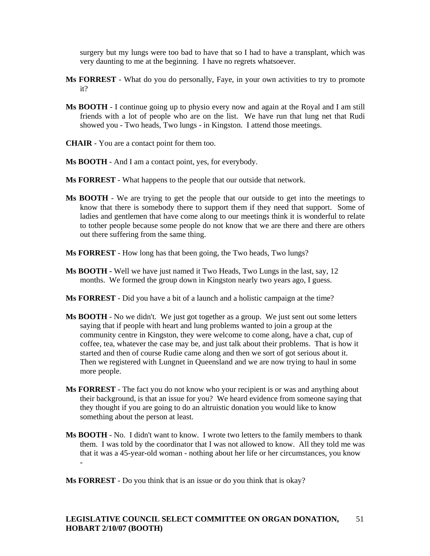surgery but my lungs were too bad to have that so I had to have a transplant, which was very daunting to me at the beginning. I have no regrets whatsoever.

- **Ms FORREST** What do you do personally, Faye, in your own activities to try to promote it?
- **Ms BOOTH** I continue going up to physio every now and again at the Royal and I am still friends with a lot of people who are on the list. We have run that lung net that Rudi showed you - Two heads, Two lungs - in Kingston. I attend those meetings.
- **CHAIR** You are a contact point for them too.
- **Ms BOOTH** And I am a contact point, yes, for everybody.
- **Ms FORREST** What happens to the people that our outside that network.
- **Ms BOOTH** We are trying to get the people that our outside to get into the meetings to know that there is somebody there to support them if they need that support. Some of ladies and gentlemen that have come along to our meetings think it is wonderful to relate to tother people because some people do not know that we are there and there are others out there suffering from the same thing.
- **Ms FORREST** How long has that been going, the Two heads, Two lungs?
- **Ms BOOTH** Well we have just named it Two Heads, Two Lungs in the last, say, 12 months. We formed the group down in Kingston nearly two years ago, I guess.
- **Ms FORREST** Did you have a bit of a launch and a holistic campaign at the time?
- **Ms BOOTH** No we didn't. We just got together as a group. We just sent out some letters saying that if people with heart and lung problems wanted to join a group at the community centre in Kingston, they were welcome to come along, have a chat, cup of coffee, tea, whatever the case may be, and just talk about their problems. That is how it started and then of course Rudie came along and then we sort of got serious about it. Then we registered with Lungnet in Queensland and we are now trying to haul in some more people.
- **Ms FORREST** The fact you do not know who your recipient is or was and anything about their background, is that an issue for you? We heard evidence from someone saying that they thought if you are going to do an altruistic donation you would like to know something about the person at least.
- **Ms BOOTH** No. I didn't want to know. I wrote two letters to the family members to thank them. I was told by the coordinator that I was not allowed to know. All they told me was that it was a 45-year-old woman - nothing about her life or her circumstances, you know

**Ms FORREST** - Do you think that is an issue or do you think that is okay?

-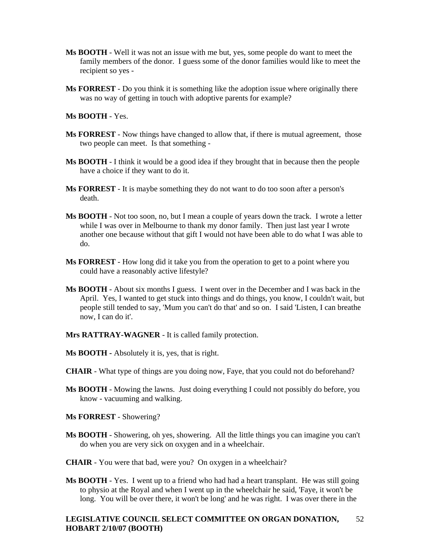- **Ms BOOTH** Well it was not an issue with me but, yes, some people do want to meet the family members of the donor. I guess some of the donor families would like to meet the recipient so yes -
- **Ms FORREST** Do you think it is something like the adoption issue where originally there was no way of getting in touch with adoptive parents for example?

**Ms BOOTH** - Yes.

- **Ms FORREST** Now things have changed to allow that, if there is mutual agreement, those two people can meet. Is that something -
- **Ms BOOTH** I think it would be a good idea if they brought that in because then the people have a choice if they want to do it.
- **Ms FORREST** It is maybe something they do not want to do too soon after a person's death.
- **Ms BOOTH** Not too soon, no, but I mean a couple of years down the track. I wrote a letter while I was over in Melbourne to thank my donor family. Then just last year I wrote another one because without that gift I would not have been able to do what I was able to do.
- **Ms FORREST** How long did it take you from the operation to get to a point where you could have a reasonably active lifestyle?
- **Ms BOOTH** About six months I guess. I went over in the December and I was back in the April. Yes, I wanted to get stuck into things and do things, you know, I couldn't wait, but people still tended to say, 'Mum you can't do that' and so on. I said 'Listen, I can breathe now, I can do it'.
- **Mrs RATTRAY-WAGNER** It is called family protection.
- **Ms BOOTH** Absolutely it is, yes, that is right.
- **CHAIR** What type of things are you doing now, Faye, that you could not do beforehand?
- **Ms BOOTH** Mowing the lawns. Just doing everything I could not possibly do before, you know - vacuuming and walking.
- **Ms FORREST** Showering?
- **Ms BOOTH** Showering, oh yes, showering. All the little things you can imagine you can't do when you are very sick on oxygen and in a wheelchair.
- **CHAIR** You were that bad, were you? On oxygen in a wheelchair?
- **Ms BOOTH** Yes. I went up to a friend who had had a heart transplant. He was still going to physio at the Royal and when I went up in the wheelchair he said, 'Faye, it won't be long. You will be over there, it won't be long' and he was right. I was over there in the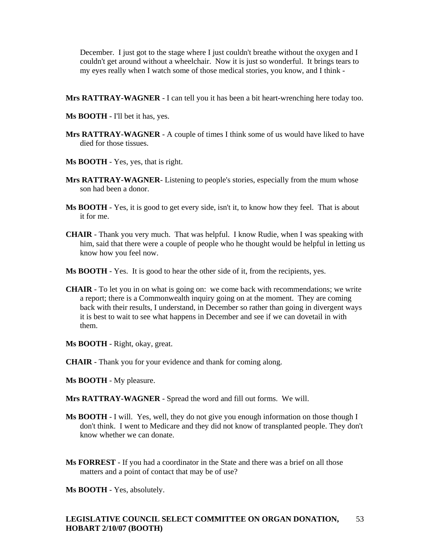December. I just got to the stage where I just couldn't breathe without the oxygen and I couldn't get around without a wheelchair. Now it is just so wonderful. It brings tears to my eyes really when I watch some of those medical stories, you know, and I think -

- **Mrs RATTRAY-WAGNER** I can tell you it has been a bit heart-wrenching here today too.
- **Ms BOOTH** I'll bet it has, yes.
- **Mrs RATTRAY-WAGNER** A couple of times I think some of us would have liked to have died for those tissues.
- **Ms BOOTH** Yes, yes, that is right.
- **Mrs RATTRAY-WAGNER** Listening to people's stories, especially from the mum whose son had been a donor.
- **Ms BOOTH** Yes, it is good to get every side, isn't it, to know how they feel. That is about it for me.
- **CHAIR** Thank you very much. That was helpful. I know Rudie, when I was speaking with him, said that there were a couple of people who he thought would be helpful in letting us know how you feel now.
- **Ms BOOTH** Yes. It is good to hear the other side of it, from the recipients, yes.
- **CHAIR** To let you in on what is going on: we come back with recommendations; we write a report; there is a Commonwealth inquiry going on at the moment. They are coming back with their results, I understand, in December so rather than going in divergent ways it is best to wait to see what happens in December and see if we can dovetail in with them.
- **Ms BOOTH** Right, okay, great.
- **CHAIR** Thank you for your evidence and thank for coming along.
- **Ms BOOTH** My pleasure.
- **Mrs RATTRAY-WAGNER** Spread the word and fill out forms. We will.
- **Ms BOOTH** I will. Yes, well, they do not give you enough information on those though I don't think. I went to Medicare and they did not know of transplanted people. They don't know whether we can donate.
- **Ms FORREST** If you had a coordinator in the State and there was a brief on all those matters and a point of contact that may be of use?

**Ms BOOTH** - Yes, absolutely.